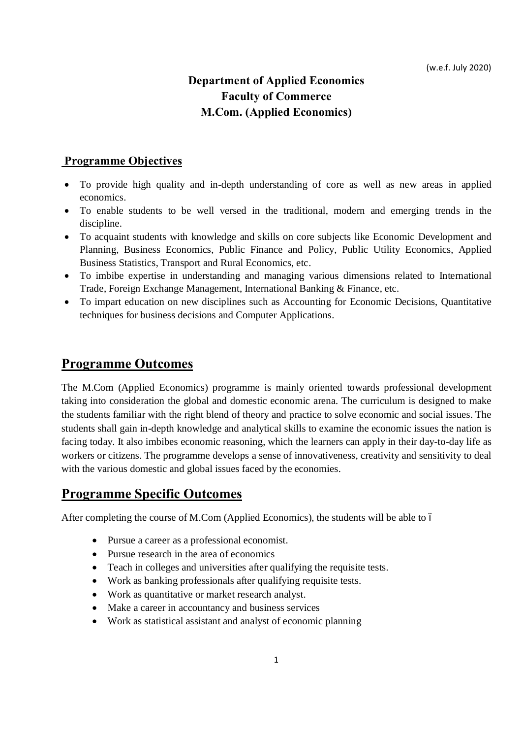# **Department of Applied Economics Faculty of Commerce M.Com. (Applied Economics)**

# **Programme Objectives**

- · To provide high quality and in-depth understanding of core as well as new areas in applied economics.
- · To enable students to be well versed in the traditional, modern and emerging trends in the discipline.
- · To acquaint students with knowledge and skills on core subjects like Economic Development and Planning, Business Economics, Public Finance and Policy, Public Utility Economics, Applied Business Statistics, Transport and Rural Economics, etc.
- · To imbibe expertise in understanding and managing various dimensions related to International Trade, Foreign Exchange Management, International Banking & Finance, etc.
- · To impart education on new disciplines such as Accounting for Economic Decisions, Quantitative techniques for business decisions and Computer Applications.

# **Programme Outcomes**

The M.Com (Applied Economics) programme is mainly oriented towards professional development taking into consideration the global and domestic economic arena. The curriculum is designed to make the students familiar with the right blend of theory and practice to solve economic and social issues. The students shall gain in-depth knowledge and analytical skills to examine the economic issues the nation is facing today. It also imbibes economic reasoning, which the learners can apply in their day-to-day life as workers or citizens. The programme develops a sense of innovativeness, creativity and sensitivity to deal with the various domestic and global issues faced by the economies.

# **Programme Specific Outcomes**

After completing the course of M.Com (Applied Economics), the students will be able to 6

- · Pursue a career as a professional economist.
- Pursue research in the area of economics
- Teach in colleges and universities after qualifying the requisite tests.
- · Work as banking professionals after qualifying requisite tests.
- · Work as quantitative or market research analyst.
- Make a career in accountancy and business services
- · Work as statistical assistant and analyst of economic planning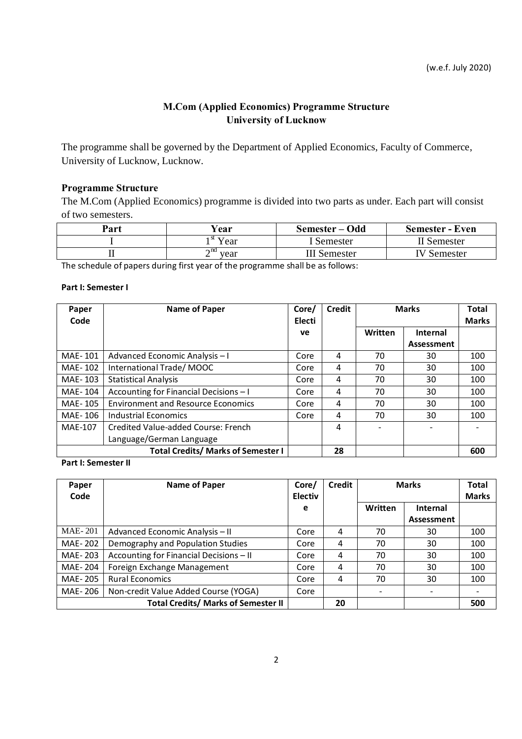# **M.Com (Applied Economics) Programme Structure University of Lucknow**

The programme shall be governed by the Department of Applied Economics, Faculty of Commerce, University of Lucknow, Lucknow.

# **Programme Structure**

The M.Com (Applied Economics) programme is divided into two parts as under. Each part will consist of two semesters.

| Part | Year                          | Semester – Odd      | <b>Semester - Even</b> |
|------|-------------------------------|---------------------|------------------------|
|      | $\mathbf{I}^{\text{st}}$ Year | I Semester          | II Semester            |
|      | $\mathbf{r}^{\text{nd}}$ vear | <b>III</b> Semester | <b>IV</b> Semester     |

The schedule of papers during first year of the programme shall be as follows:

### **Part I: Semester I**

| Paper<br>Code  | <b>Name of Paper</b>                      | Core/<br><b>Electi</b> | <b>Credit</b> | <b>Marks</b> |                 | <b>Total</b><br><b>Marks</b> |
|----------------|-------------------------------------------|------------------------|---------------|--------------|-----------------|------------------------------|
|                |                                           | <b>ve</b>              |               | Written      | <b>Internal</b> |                              |
|                |                                           |                        |               |              | Assessment      |                              |
| MAE-101        | Advanced Economic Analysis - I            | Core                   | 4             | 70           | 30              | 100                          |
| MAE-102        | International Trade/MOOC                  | Core                   | 4             | 70           | 30              | 100                          |
| MAE-103        | <b>Statistical Analysis</b>               | Core                   | 4             | 70           | 30              | 100                          |
| MAE-104        | Accounting for Financial Decisions - I    | Core                   | 4             | 70           | 30              | 100                          |
| MAE-105        | <b>Environment and Resource Economics</b> | Core                   | 4             | 70           | 30              | 100                          |
| MAE-106        | <b>Industrial Economics</b>               | Core                   | 4             | 70           | 30              | 100                          |
| <b>MAE-107</b> | Credited Value-added Course: French       |                        | 4             |              |                 |                              |
|                | Language/German Language                  |                        |               |              |                 |                              |
|                | <b>Total Credits/ Marks of Semester I</b> |                        | 28            |              |                 | 600                          |

**Part I: Semester II**

| Paper<br>Code  | Name of Paper                              | Core/<br><b>Electiv</b> | <b>Credit</b> |         | <b>Marks</b>    | Total<br><b>Marks</b> |
|----------------|--------------------------------------------|-------------------------|---------------|---------|-----------------|-----------------------|
|                |                                            | e                       |               | Written | <b>Internal</b> |                       |
|                |                                            |                         |               |         | Assessment      |                       |
| <b>MAE-201</b> | Advanced Economic Analysis - II            | Core                    | 4             | 70      | 30              | 100                   |
| MAE-202        | Demography and Population Studies          | Core                    | 4             | 70      | 30              | 100                   |
| MAE-203        | Accounting for Financial Decisions - II    | Core                    | 4             | 70      | 30              | 100                   |
| MAE-204        | Foreign Exchange Management                | Core                    | 4             | 70      | 30              | 100                   |
| MAE-205        | <b>Rural Economics</b>                     | Core                    | 4             | 70      | 30              | 100                   |
| MAE- 206       | Non-credit Value Added Course (YOGA)       | Core                    |               |         |                 |                       |
|                | <b>Total Credits/ Marks of Semester II</b> |                         | 20            |         |                 | 500                   |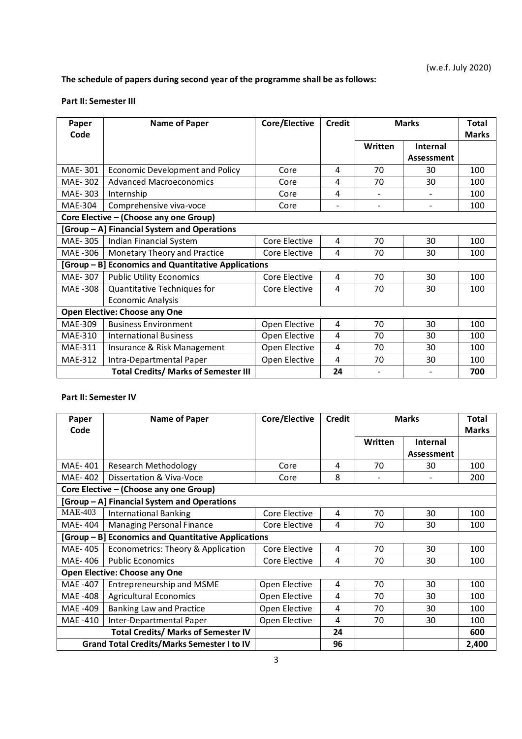# **The schedule of papers during second year of the programme shall be as follows:**

### **Part II: Semester III**

| Paper<br>Code                                       | <b>Name of Paper</b>                        | Core/Elective | <b>Credit</b>            | <b>Marks</b>  |                               | Total<br><b>Marks</b> |
|-----------------------------------------------------|---------------------------------------------|---------------|--------------------------|---------------|-------------------------------|-----------------------|
|                                                     |                                             |               |                          | Written       | <b>Internal</b><br>Assessment |                       |
| MAE-301                                             | <b>Economic Development and Policy</b>      | Core          | 4                        | 70            | 30                            | 100                   |
| MAE-302                                             | <b>Advanced Macroeconomics</b>              | Core          | 4                        | 70            | 30                            | 100                   |
| MAE-303                                             | Internship                                  | Core          | 4                        | $\frac{1}{2}$ |                               | 100                   |
| <b>MAE-304</b>                                      | Comprehensive viva-voce                     | Core          | $\overline{\phantom{0}}$ |               |                               | 100                   |
| Core Elective - (Choose any one Group)              |                                             |               |                          |               |                               |                       |
|                                                     | [Group - A] Financial System and Operations |               |                          |               |                               |                       |
| MAE-305                                             | Indian Financial System                     | Core Elective | 4                        | 70            | 30                            | 100                   |
| MAE -306                                            | Monetary Theory and Practice                | Core Elective | 4                        | 70            | 30                            | 100                   |
| [Group - B] Economics and Quantitative Applications |                                             |               |                          |               |                               |                       |
| MAE-307                                             | <b>Public Utility Economics</b>             | Core Elective | 4                        | 70            | 30                            | 100                   |
| MAE -308                                            | Quantitative Techniques for                 | Core Elective | 4                        | 70            | 30                            | 100                   |
|                                                     | <b>Economic Analysis</b>                    |               |                          |               |                               |                       |
|                                                     | <b>Open Elective: Choose any One</b>        |               |                          |               |                               |                       |
| MAE-309                                             | <b>Business Environment</b>                 | Open Elective | 4                        | 70            | 30                            | 100                   |
| MAE-310                                             | <b>International Business</b>               | Open Elective | 4                        | 70            | 30                            | 100                   |
| MAE-311                                             | Insurance & Risk Management                 | Open Elective | 4                        | 70            | 30                            | 100                   |
| <b>MAE-312</b>                                      | Intra-Departmental Paper                    | Open Elective | 4                        | 70            | 30                            | 100                   |
|                                                     | <b>Total Credits/ Marks of Semester III</b> |               | 24                       |               |                               | 700                   |

#### **Part II: Semester IV**

| Paper<br>Code                        | Name of Paper                                       | Core/Elective | <b>Credit</b> | <b>Marks</b> |                 | <b>Total</b><br><b>Marks</b> |
|--------------------------------------|-----------------------------------------------------|---------------|---------------|--------------|-----------------|------------------------------|
|                                      |                                                     |               |               | Written      | <b>Internal</b> |                              |
|                                      |                                                     |               |               |              | Assessment      |                              |
| MAE-401                              | Research Methodology                                | Core          | 4             | 70           | 30              | 100                          |
| MAE-402                              | Dissertation & Viva-Voce                            | Core          | 8             |              |                 | 200                          |
|                                      | Core Elective - (Choose any one Group)              |               |               |              |                 |                              |
|                                      | [Group - A] Financial System and Operations         |               |               |              |                 |                              |
| <b>MAE-403</b>                       | <b>International Banking</b>                        | Core Elective | 4             | 70           | 30              | 100                          |
| MAE-404                              | Managing Personal Finance                           | Core Elective | 4             | 70           | 30              | 100                          |
|                                      | [Group – B] Economics and Quantitative Applications |               |               |              |                 |                              |
| MAE-405                              | Econometrics: Theory & Application                  | Core Elective | 4             | 70           | 30              | 100                          |
| MAE-406                              | <b>Public Economics</b>                             | Core Elective | 4             | 70           | 30              | 100                          |
| <b>Open Elective: Choose any One</b> |                                                     |               |               |              |                 |                              |
| MAE -407                             | Entrepreneurship and MSME                           | Open Elective | 4             | 70           | 30              | 100                          |
| MAE -408                             | <b>Agricultural Economics</b>                       | Open Elective | 4             | 70           | 30              | 100                          |
| MAE -409                             | Banking Law and Practice                            | Open Elective | 4             | 70           | 30              | 100                          |
| MAE -410                             | Inter-Departmental Paper                            | Open Elective | 4             | 70           | 30              | 100                          |
|                                      | <b>Total Credits/ Marks of Semester IV</b>          |               | 24            |              |                 | 600                          |
|                                      | <b>Grand Total Credits/Marks Semester I to IV</b>   |               | 96            |              |                 | 2,400                        |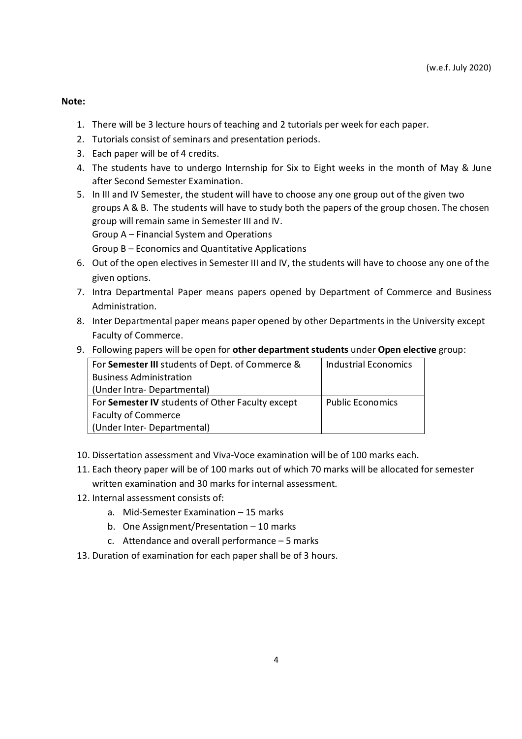**Note:**

- 1. There will be 3 lecture hours of teaching and 2 tutorials per week for each paper.
- 2. Tutorials consist of seminars and presentation periods.
- 3. Each paper will be of 4 credits.
- 4. The students have to undergo Internship for Six to Eight weeks in the month of May & June after Second Semester Examination.
- 5. In III and IV Semester, the student will have to choose any one group out of the given two groups A & B. The students will have to study both the papers of the group chosen. The chosen group will remain same in Semester III and IV. Group A – Financial System and Operations

Group B – Economics and Quantitative Applications

- 6. Out of the open electives in Semester III and IV, the students will have to choose any one of the given options.
- 7. Intra Departmental Paper means papers opened by Department of Commerce and Business Administration.
- 8. Inter Departmental paper means paper opened by other Departments in the University except Faculty of Commerce.
- 9. Following papers will be open for **other department students** under **Open elective** group:

| For Semester III students of Dept. of Commerce & | <b>Industrial Economics</b> |
|--------------------------------------------------|-----------------------------|
| <b>Business Administration</b>                   |                             |
| (Under Intra-Departmental)                       |                             |
| For Semester IV students of Other Faculty except | <b>Public Economics</b>     |
| <b>Faculty of Commerce</b>                       |                             |
| (Under Inter- Departmental)                      |                             |

- 10. Dissertation assessment and Viva-Voce examination will be of 100 marks each.
- 11. Each theory paper will be of 100 marks out of which 70 marks will be allocated for semester written examination and 30 marks for internal assessment.
- 12. Internal assessment consists of:
	- a. Mid-Semester Examination 15 marks
	- b. One Assignment/Presentation 10 marks
	- c. Attendance and overall performance 5 marks
- 13. Duration of examination for each paper shall be of 3 hours.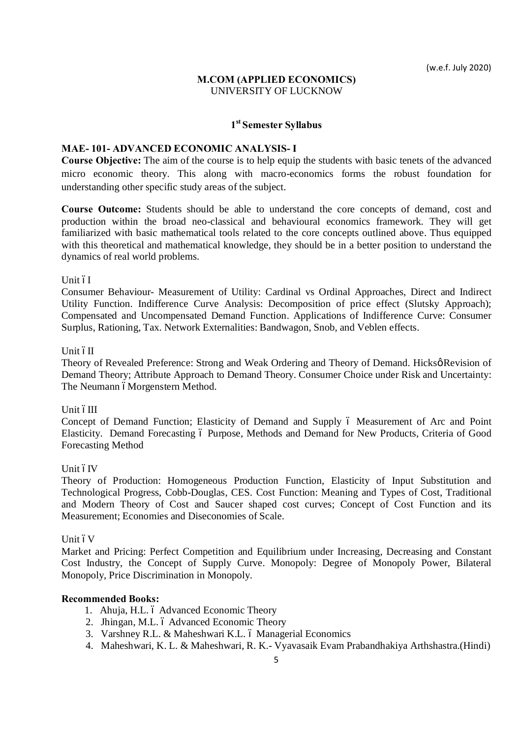### **M.COM (APPLIED ECONOMICS)** UNIVERSITY OF LUCKNOW

### **1st Semester Syllabus**

### **MAE- 101- ADVANCED ECONOMIC ANALYSIS- I**

**Course Objective:** The aim of the course is to help equip the students with basic tenets of the advanced micro economic theory. This along with macro-economics forms the robust foundation for understanding other specific study areas of the subject.

**Course Outcome:** Students should be able to understand the core concepts of demand, cost and production within the broad neo-classical and behavioural economics framework. They will get familiarized with basic mathematical tools related to the core concepts outlined above. Thus equipped with this theoretical and mathematical knowledge, they should be in a better position to understand the dynamics of real world problems.

#### Unit óI

Consumer Behaviour- Measurement of Utility: Cardinal vs Ordinal Approaches, Direct and Indirect Utility Function. Indifference Curve Analysis: Decomposition of price effect (Slutsky Approach); Compensated and Uncompensated Demand Function. Applications of Indifference Curve: Consumer Surplus, Rationing, Tax. Network Externalities: Bandwagon, Snob, and Veblen effects.

### Unit óII

Theory of Revealed Preference: Strong and Weak Ordering and Theory of Demand. Hicksø Revision of Demand Theory; Attribute Approach to Demand Theory. Consumer Choice under Risk and Uncertainty: The Neumann óMorgenstern Method.

#### Unit óIII

Concept of Demand Function; Elasticity of Demand and Supply 6 Measurement of Arc and Point Elasticity. Demand Forecasting 6 Purpose, Methods and Demand for New Products, Criteria of Good Forecasting Method

#### Unit óIV

Theory of Production: Homogeneous Production Function, Elasticity of Input Substitution and Technological Progress, Cobb-Douglas, CES. Cost Function: Meaning and Types of Cost, Traditional and Modern Theory of Cost and Saucer shaped cost curves; Concept of Cost Function and its Measurement; Economies and Diseconomies of Scale.

#### Unit  $6V$

Market and Pricing: Perfect Competition and Equilibrium under Increasing, Decreasing and Constant Cost Industry, the Concept of Supply Curve. Monopoly: Degree of Monopoly Power, Bilateral Monopoly, Price Discrimination in Monopoly.

- 1. Ahuja, H.L. ó Advanced Economic Theory
- 2. Jhingan, M.L. ó Advanced Economic Theory
- 3. Varshney R.L. & Maheshwari K.L. ó Managerial Economics
- 4. Maheshwari, K. L. & Maheshwari, R. K.- Vyavasaik Evam Prabandhakiya Arthshastra.(Hindi)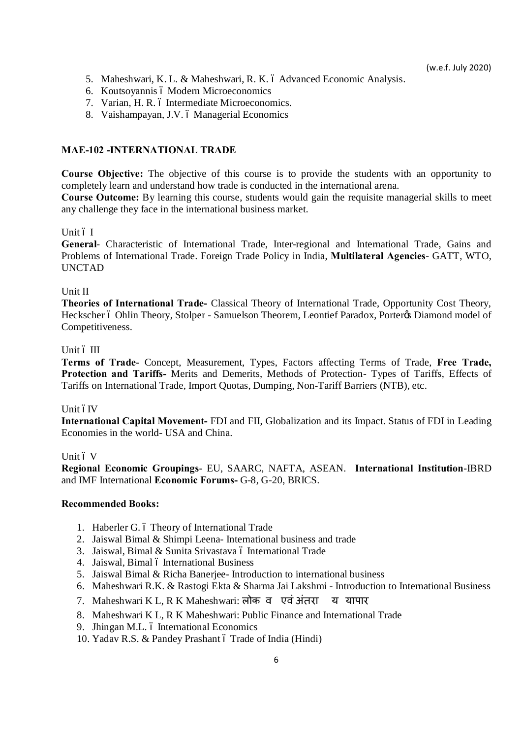- 5. Maheshwari, K. L. & Maheshwari, R. K. ó Advanced Economic Analysis.
- 6. Koutsoyannis ó Modern Microeconomics
- 7. Varian, H. R. ó Intermediate Microeconomics.
- 8. Vaishampayan, J.V. ó Managerial Economics

# **MAE-102 -INTERNATIONAL TRADE**

**Course Objective:** The objective of this course is to provide the students with an opportunity to completely learn and understand how trade is conducted in the international arena.

**Course Outcome:** By learning this course, students would gain the requisite managerial skills to meet any challenge they face in the international business market.

# Unit ó I

**General**- Characteristic of International Trade, Inter-regional and International Trade, Gains and Problems of International Trade. Foreign Trade Policy in India, **Multilateral Agencies**- GATT, WTO, UNCTAD

# Unit II

**Theories of International Trade-** Classical Theory of International Trade, Opportunity Cost Theory, Heckscher ó Ohlin Theory, Stolper - Samuelson Theorem, Leontief Paradox, Porter & Diamond model of Competitiveness.

# Unit  $6$  III

**Terms of Trade**- Concept, Measurement, Types, Factors affecting Terms of Trade, **Free Trade, Protection and Tariffs-** Merits and Demerits, Methods of Protection- Types of Tariffs, Effects of Tariffs on International Trade, Import Quotas, Dumping, Non-Tariff Barriers (NTB), etc.

### Unit óIV

**International Capital Movement-** FDI and FII, Globalization and its Impact. Status of FDI in Leading Economies in the world- USA and China.

### Unit ó V

**Regional Economic Groupings**- EU, SAARC, NAFTA, ASEAN. **International Institution**-IBRD and IMF International **Economic Forums-** G-8, G-20, BRICS.

- 1. Haberler G. 6 Theory of International Trade
- 2. Jaiswal Bimal & Shimpi Leena- International business and trade
- 3. Jaiswal, Bimal & Sunita Srivastava ó International Trade
- 4. Jaiswal, Bimal ó International Business
- 5. Jaiswal Bimal & Richa Banerjee- Introduction to international business
- 6. Maheshwari R.K. & Rastogi Ekta & Sharma Jai Lakshmi Introduction to International Business
- 7. Maheshwari K L, R K Maheshwari: लोक व एवं अंतरा य यापार
- 8. Maheshwari K L, R K Maheshwari: Public Finance and International Trade
- 9. Jhingan M.L. ó International Economics
- 10. Yadav R.S. & Pandey Prashant ó Trade of India (Hindi)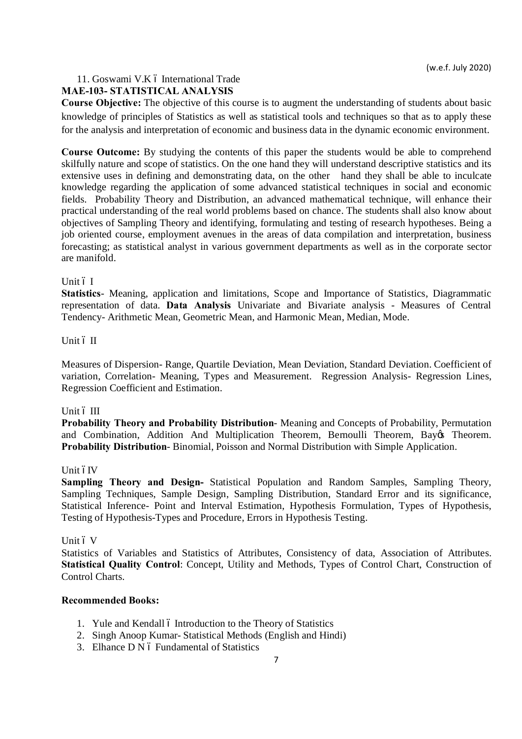### 11. Goswami V.K ó International Trade

### **MAE-103- STATISTICAL ANALYSIS**

**Course Objective:** The objective of this course is to augment the understanding of students about basic knowledge of principles of Statistics as well as statistical tools and techniques so that as to apply these for the analysis and interpretation of economic and business data in the dynamic economic environment.

**Course Outcome:** By studying the contents of this paper the students would be able to comprehend skilfully nature and scope of statistics. On the one hand they will understand descriptive statistics and its extensive uses in defining and demonstrating data, on the other hand they shall be able to inculcate knowledge regarding the application of some advanced statistical techniques in social and economic fields. Probability Theory and Distribution, an advanced mathematical technique, will enhance their practical understanding of the real world problems based on chance. The students shall also know about objectives of Sampling Theory and identifying, formulating and testing of research hypotheses. Being a job oriented course, employment avenues in the areas of data compilation and interpretation, business forecasting; as statistical analyst in various government departments as well as in the corporate sector are manifold.

#### Unit ó I

**Statistics**- Meaning, application and limitations, Scope and Importance of Statistics, Diagrammatic representation of data. **Data Analysis** Univariate and Bivariate analysis - Measures of Central Tendency- Arithmetic Mean, Geometric Mean, and Harmonic Mean, Median, Mode.

### Unit ó II

Measures of Dispersion- Range, Quartile Deviation, Mean Deviation, Standard Deviation. Coefficient of variation, Correlation- Meaning, Types and Measurement. Regression Analysis- Regression Lines, Regression Coefficient and Estimation.

#### Unit  $6$  III

**Probability Theory and Probability Distribution**- Meaning and Concepts of Probability, Permutation and Combination, Addition And Multiplication Theorem, Bernoulli Theorem, Bayos Theorem. **Probability Distribution**- Binomial, Poisson and Normal Distribution with Simple Application.

#### Unit óIV

**Sampling Theory and Design-** Statistical Population and Random Samples, Sampling Theory, Sampling Techniques, Sample Design, Sampling Distribution, Standard Error and its significance, Statistical Inference- Point and Interval Estimation, Hypothesis Formulation, Types of Hypothesis, Testing of Hypothesis-Types and Procedure, Errors in Hypothesis Testing.

#### Unit ó V

Statistics of Variables and Statistics of Attributes, Consistency of data, Association of Attributes. **Statistical Quality Control**: Concept, Utility and Methods, Types of Control Chart, Construction of Control Charts.

- 1. Yule and Kendall 6 Introduction to the Theory of Statistics
- 2. Singh Anoop Kumar- Statistical Methods (English and Hindi)
- 3. Elhance D N 6 Fundamental of Statistics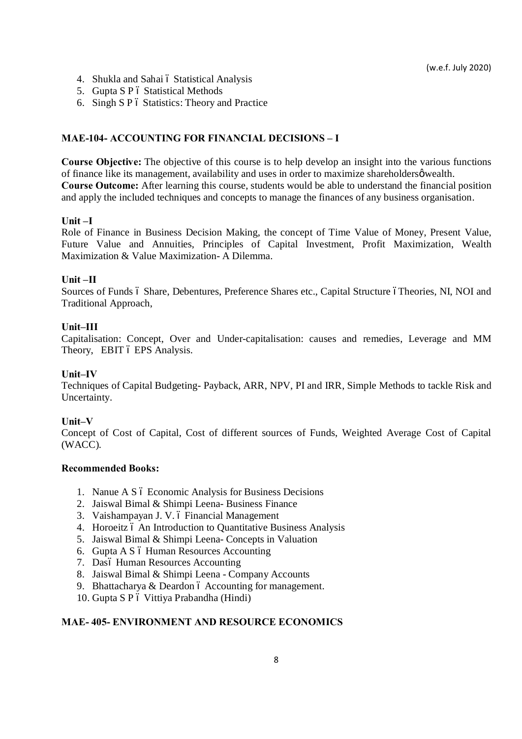- 4. Shukla and Sahai 6 Statistical Analysis
- 5. Gupta S P ó Statistical Methods
- 6. Singh  $S \cdot P$  ó Statistics: Theory and Practice

#### **MAE-104- ACCOUNTING FOR FINANCIAL DECISIONS – I**

**Course Objective:** The objective of this course is to help develop an insight into the various functions of finance like its management, availability and uses in order to maximize shareholders  $\phi$  wealth. **Course Outcome:** After learning this course, students would be able to understand the financial position and apply the included techniques and concepts to manage the finances of any business organisation.

#### **Unit –I**

Role of Finance in Business Decision Making, the concept of Time Value of Money, Present Value, Future Value and Annuities, Principles of Capital Investment, Profit Maximization, Wealth Maximization & Value Maximization- A Dilemma.

#### **Unit –II**

Sources of Funds ó Share, Debentures, Preference Shares etc., Capital Structure óTheories, NI, NOI and Traditional Approach,

#### **Unit–III**

Capitalisation: Concept, Over and Under-capitalisation: causes and remedies, Leverage and MM Theory, EBIT 6 EPS Analysis.

#### **Unit–IV**

Techniques of Capital Budgeting- Payback, ARR, NPV, PI and IRR, Simple Methods to tackle Risk and Uncertainty.

#### **Unit–V**

Concept of Cost of Capital, Cost of different sources of Funds, Weighted Average Cost of Capital (WACC).

#### **Recommended Books:**

- 1. Nanue A S ó Economic Analysis for Business Decisions
- 2. Jaiswal Bimal & Shimpi Leena- Business Finance
- 3. Vaishampayan J. V. ó Financial Management
- 4. Horoeitz 6 An Introduction to Quantitative Business Analysis
- 5. Jaiswal Bimal & Shimpi Leena- Concepts in Valuation
- 6. Gupta A S ó Human Resources Accounting
- 7. Dasó Human Resources Accounting
- 8. Jaiswal Bimal & Shimpi Leena Company Accounts
- 9. Bhattacharya  $&$  Deardon ó Accounting for management.
- 10. Gupta S P ó Vittiya Prabandha (Hindi)

### **MAE- 405- ENVIRONMENT AND RESOURCE ECONOMICS**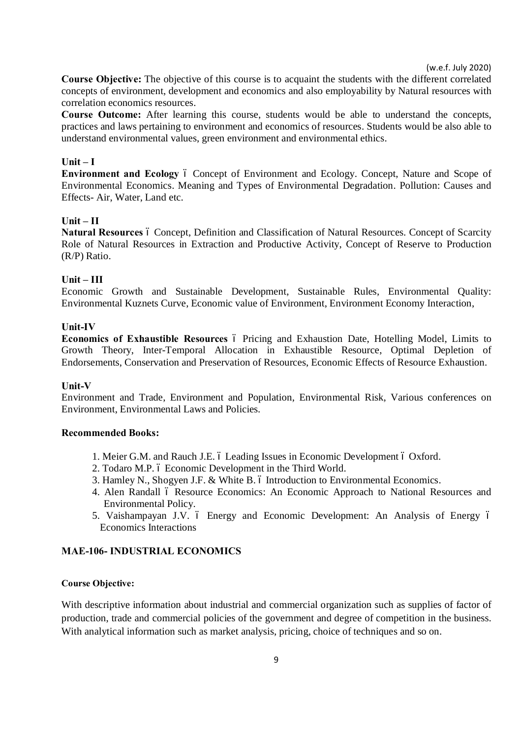**Course Objective:** The objective of this course is to acquaint the students with the different correlated concepts of environment, development and economics and also employability by Natural resources with correlation economics resources.

**Course Outcome:** After learning this course, students would be able to understand the concepts, practices and laws pertaining to environment and economics of resources. Students would be also able to understand environmental values, green environment and environmental ethics.

### $\textbf{Unit} - \textbf{I}$

**Environment and Ecology**  $\acute{o}$  Concept of Environment and Ecology. Concept, Nature and Scope of Environmental Economics. Meaning and Types of Environmental Degradation. Pollution: Causes and Effects- Air, Water, Land etc.

#### **Unit – II**

Natural Resources of Concept, Definition and Classification of Natural Resources. Concept of Scarcity Role of Natural Resources in Extraction and Productive Activity, Concept of Reserve to Production (R/P) Ratio.

### **Unit – III**

Economic Growth and Sustainable Development, Sustainable Rules, Environmental Quality: Environmental Kuznets Curve, Economic value of Environment, Environment Economy Interaction,

### **Unit-IV**

**Economics of Exhaustible Resources**  $\acute{o}$  Pricing and Exhaustion Date, Hotelling Model, Limits to Growth Theory, Inter-Temporal Allocation in Exhaustible Resource, Optimal Depletion of Endorsements, Conservation and Preservation of Resources, Economic Effects of Resource Exhaustion.

#### **Unit-V**

Environment and Trade, Environment and Population, Environmental Risk, Various conferences on Environment, Environmental Laws and Policies.

#### **Recommended Books:**

- 1. Meier G.M. and Rauch J.E. 6 Leading Issues in Economic Development 6 Oxford.
- 2. Todaro M.P. 6 Economic Development in the Third World.
- 3. Hamley N., Shogyen J.F.  $&$  White B.  $&$  Introduction to Environmental Economics.
- 4. Alen Randall ó Resource Economics: An Economic Approach to National Resources and Environmental Policy.
- 5. Vaishampayan J.V. ó Energy and Economic Development: An Analysis of Energy ó Economics Interactions

### **MAE-106- INDUSTRIAL ECONOMICS**

#### **Course Objective:**

With descriptive information about industrial and commercial organization such as supplies of factor of production, trade and commercial policies of the government and degree of competition in the business. With analytical information such as market analysis, pricing, choice of techniques and so on.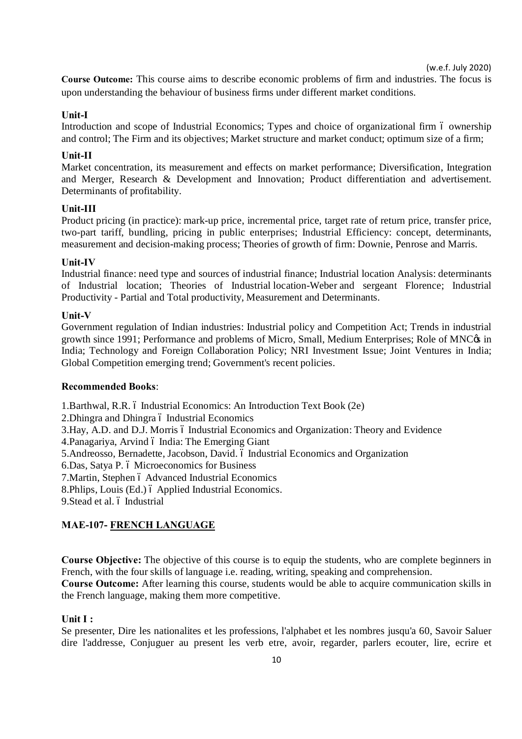**Course Outcome:** This course aims to describe economic problems of firm and industries. The focus is upon understanding the behaviour of business firms under different market conditions.

### **Unit-I**

Introduction and scope of Industrial Economics; Types and choice of organizational firm 6 ownership and control; The Firm and its objectives; Market structure and market conduct; optimum size of a firm;

### **Unit-II**

Market concentration, its measurement and effects on market performance; Diversification, Integration and Merger, Research & Development and Innovation; Product differentiation and advertisement. Determinants of profitability.

### **Unit-III**

Product pricing (in practice): mark-up price, incremental price, target rate of return price, transfer price, two-part tariff, bundling, pricing in public enterprises; Industrial Efficiency: concept, determinants, measurement and decision-making process; Theories of growth of firm: Downie, Penrose and Marris.

### **Unit-IV**

Industrial finance: need type and sources of industrial finance; Industrial location Analysis: determinants of Industrial location; Theories of Industrial location-Weber and sergeant Florence; Industrial Productivity - Partial and Total productivity, Measurement and Determinants.

### **Unit-V**

Government regulation of Indian industries: Industrial policy and Competition Act; Trends in industrial growth since 1991; Performance and problems of Micro, Small, Medium Enterprises; Role of MNC $\alpha$  in India; Technology and Foreign Collaboration Policy; NRI Investment Issue; Joint Ventures in India; Global Competition emerging trend; Government's recent policies.

### **Recommended Books**:

1. Barthwal, R.R. 6 Industrial Economics: An Introduction Text Book (2e)

2. Dhingra and Dhingra 6 Industrial Economics

3.Hay, A.D. and D.J. Morris 6 Industrial Economics and Organization: Theory and Evidence

4. Panagariya, Arvind ó India: The Emerging Giant

5.Andreosso, Bernadette, Jacobson, David. – Industrial Economics and Organization

6.Das, Satya P. 6 Microeconomics for Business

7. Martin, Stephen ó Advanced Industrial Economics

8.Phlips, Louis (Ed.) 6 Applied Industrial Economics.

9. Stead et al. ó Industrial

### **MAE-107- FRENCH LANGUAGE**

**Course Objective:** The objective of this course is to equip the students, who are complete beginners in French, with the four skills of language i.e. reading, writing, speaking and comprehension.

**Course Outcome:** After learning this course, students would be able to acquire communication skills in the French language, making them more competitive.

#### **Unit I :**

Se presenter, Dire les nationalites et les professions, l'alphabet et les nombres jusqu'a 60, Savoir Saluer dire l'addresse, Conjuguer au present les verb etre, avoir, regarder, parlers ecouter, lire, ecrire et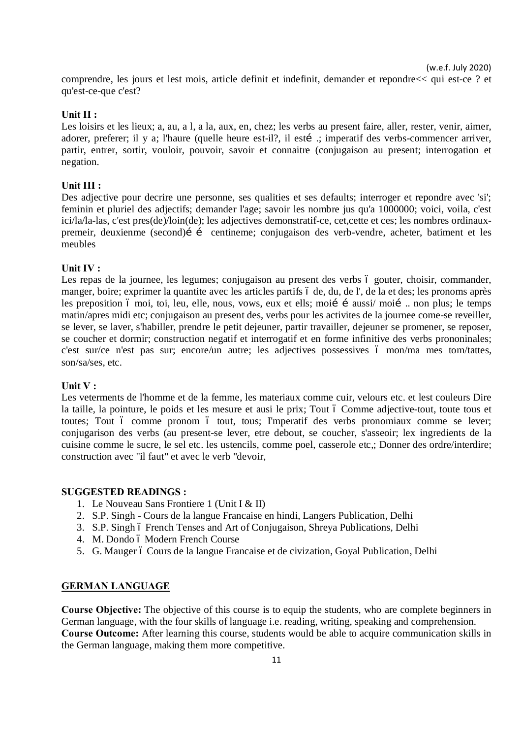comprendre, les jours et lest mois, article definit et indefinit, demander et repondre<< qui est-ce ? et qu'est-ce-que c'est?

### **Unit II :**

Les loisirs et les lieux; a, au, a l, a la, aux, en, chez; les verbs au present faire, aller, rester, venir, aimer, adorer, preferer; il y a; l'haure (quelle heure est-il?, il estí :; imperatif des verbs-commencer arriver, partir, entrer, sortir, vouloir, pouvoir, savoir et connaitre (conjugaison au present; interrogation et negation.

### **Unit III :**

Des adjective pour decrire une personne, ses qualities et ses defaults; interroger et repondre avec 'si'; feminin et pluriel des adjectifs; demander l'age; savoir les nombre jus qu'a 1000000; voici, voila, c'est ici/la/la-las, c'est pres(de)/loin(de); les adjectives demonstratif-ce, cet,cette et ces; les nombres ordinauxpremeir, deuxienme (second) i i centineme; conjugaison des verb-vendre, acheter, batiment et les meubles

### **Unit IV :**

Les repas de la journee, les legumes; conjugaison au present des verbs ó gouter, choisir, commander, manger, boire; exprimer la quantite avec les articles partifs ó de, du, de l', de la et des; les pronoms après les preposition ó moi, toi, leu, elle, nous, vows, eux et ells; moií í aussi/ moií ... non plus; le temps matin/apres midi etc; conjugaison au present des, verbs pour les activites de la journee come-se reveiller, se lever, se laver, s'habiller, prendre le petit dejeuner, partir travailler, dejeuner se promener, se reposer, se coucher et dormir; construction negatif et interrogatif et en forme infinitive des verbs prononinales; c'est sur/ce n'est pas sur; encore/un autre; les adjectives possessives ó mon/ma mes tom/tattes, son/sa/ses, etc.

#### **Unit V :**

Les veterments de l'homme et de la femme, les materiaux comme cuir, velours etc. et lest couleurs Dire la taille, la pointure, le poids et les mesure et ausi le prix; Tout ó Comme adjective-tout, toute tous et toutes; Tout ó comme pronom ó tout, tous; I'mperatif des verbs pronomiaux comme se lever; conjugarison des verbs (au present-se lever, etre debout, se coucher, s'asseoir; lex ingredients de la cuisine comme le sucre, le sel etc. les ustencils, comme poel, casserole etc,; Donner des ordre/interdire; construction avec "il faut" et avec le verb "devoir,

#### **SUGGESTED READINGS :**

- 1. Le Nouveau Sans Frontiere 1 (Unit I & II)
- 2. S.P. Singh Cours de la langue Francaise en hindi, Langers Publication, Delhi
- 3. S.P. Singh 6 French Tenses and Art of Conjugaison, Shreya Publications, Delhi
- 4. M. Dondo ó Modern French Course
- 5. G. Mauger ó Cours de la langue Francaise et de civization, Goyal Publication, Delhi

### **GERMAN LANGUAGE**

**Course Objective:** The objective of this course is to equip the students, who are complete beginners in German language, with the four skills of language i.e. reading, writing, speaking and comprehension. **Course Outcome:** After learning this course, students would be able to acquire communication skills in the German language, making them more competitive.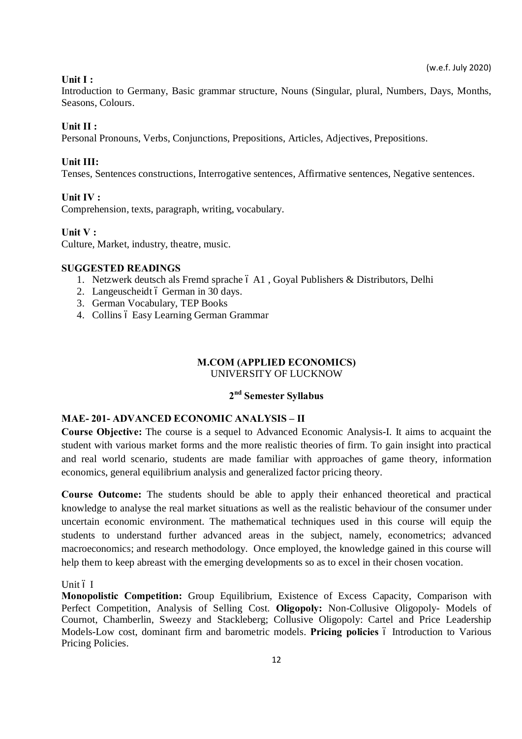### **Unit I :**

Introduction to Germany, Basic grammar structure, Nouns (Singular, plural, Numbers, Days, Months, Seasons, Colours.

### **Unit II :**

Personal Pronouns, Verbs, Conjunctions, Prepositions, Articles, Adjectives, Prepositions.

### **Unit III:**

Tenses, Sentences constructions, Interrogative sentences, Affirmative sentences, Negative sentences.

### **Unit IV :**

Comprehension, texts, paragraph, writing, vocabulary.

#### **Unit V :**

Culture, Market, industry, theatre, music.

### **SUGGESTED READINGS**

- 1. Netzwerk deutsch als Fremd sprache 6 A1, Goyal Publishers & Distributors, Delhi
- 2. Langeuscheidt ó German in 30 days.
- 3. German Vocabulary, TEP Books
- 4. Collins ó Easy Learning German Grammar

#### **M.COM (APPLIED ECONOMICS)** UNIVERSITY OF LUCKNOW

### **2nd Semester Syllabus**

### **MAE- 201- ADVANCED ECONOMIC ANALYSIS – II**

**Course Objective:** The course is a sequel to Advanced Economic Analysis-I. It aims to acquaint the student with various market forms and the more realistic theories of firm. To gain insight into practical and real world scenario, students are made familiar with approaches of game theory, information economics, general equilibrium analysis and generalized factor pricing theory.

**Course Outcome:** The students should be able to apply their enhanced theoretical and practical knowledge to analyse the real market situations as well as the realistic behaviour of the consumer under uncertain economic environment. The mathematical techniques used in this course will equip the students to understand further advanced areas in the subject, namely, econometrics; advanced macroeconomics; and research methodology. Once employed, the knowledge gained in this course will help them to keep abreast with the emerging developments so as to excel in their chosen vocation.

Unit ó I

**Monopolistic Competition:** Group Equilibrium, Existence of Excess Capacity, Comparison with Perfect Competition, Analysis of Selling Cost. **Oligopoly:** Non-Collusive Oligopoly- Models of Cournot, Chamberlin, Sweezy and Stackleberg; Collusive Oligopoly: Cartel and Price Leadership Models-Low cost, dominant firm and barometric models. Pricing policies 6 Introduction to Various Pricing Policies.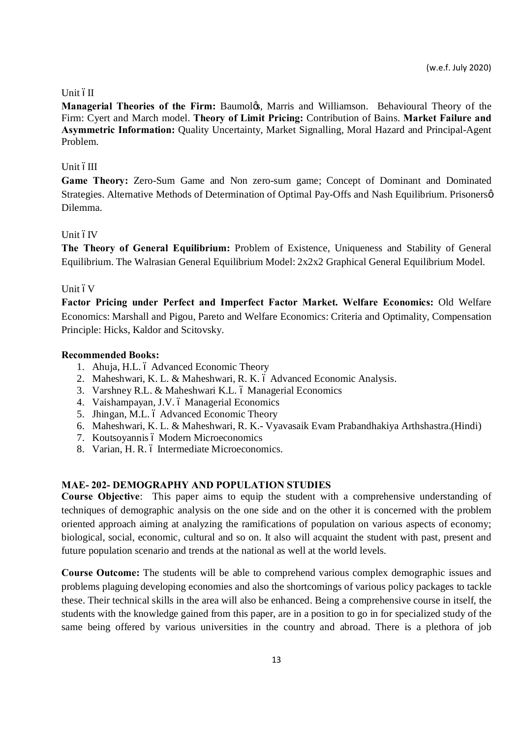### Unit óII

**Managerial Theories of the Firm:** Baumoløs, Marris and Williamson. Behavioural Theory of the Firm: Cyert and March model. **Theory of Limit Pricing:** Contribution of Bains. **Market Failure and Asymmetric Information:** Quality Uncertainty, Market Signalling, Moral Hazard and Principal-Agent Problem.

### Unit óIII

**Game Theory:** Zero-Sum Game and Non zero-sum game; Concept of Dominant and Dominated Strategies. Alternative Methods of Determination of Optimal Pay-Offs and Nash Equilibrium. Prisonersø Dilemma.

### Unit óIV

**The Theory of General Equilibrium:** Problem of Existence, Uniqueness and Stability of General Equilibrium. The Walrasian General Equilibrium Model: 2x2x2 Graphical General Equilibrium Model.

### Unit 6V

**Factor Pricing under Perfect and Imperfect Factor Market. Welfare Economics:** Old Welfare Economics: Marshall and Pigou, Pareto and Welfare Economics: Criteria and Optimality, Compensation Principle: Hicks, Kaldor and Scitovsky.

### **Recommended Books:**

- 1. Ahuja, H.L. ó Advanced Economic Theory
- 2. Maheshwari, K. L. & Maheshwari, R. K. ó Advanced Economic Analysis.
- 3. Varshney R.L. & Maheshwari K.L. ó Managerial Economics
- 4. Vaishampayan, J.V. ó Managerial Economics
- 5. Jhingan, M.L. ó Advanced Economic Theory
- 6. Maheshwari, K. L. & Maheshwari, R. K.- Vyavasaik Evam Prabandhakiya Arthshastra.(Hindi)
- 7. Koutsoyannis ó Modern Microeconomics
- 8. Varian, H. R. ó Intermediate Microeconomics.

# **MAE- 202- DEMOGRAPHY AND POPULATION STUDIES**

**Course Objective**: This paper aims to equip the student with a comprehensive understanding of techniques of demographic analysis on the one side and on the other it is concerned with the problem oriented approach aiming at analyzing the ramifications of population on various aspects of economy; biological, social, economic, cultural and so on. It also will acquaint the student with past, present and future population scenario and trends at the national as well at the world levels.

**Course Outcome:** The students will be able to comprehend various complex demographic issues and problems plaguing developing economies and also the shortcomings of various policy packages to tackle these. Their technical skills in the area will also be enhanced. Being a comprehensive course in itself, the students with the knowledge gained from this paper, are in a position to go in for specialized study of the same being offered by various universities in the country and abroad. There is a plethora of job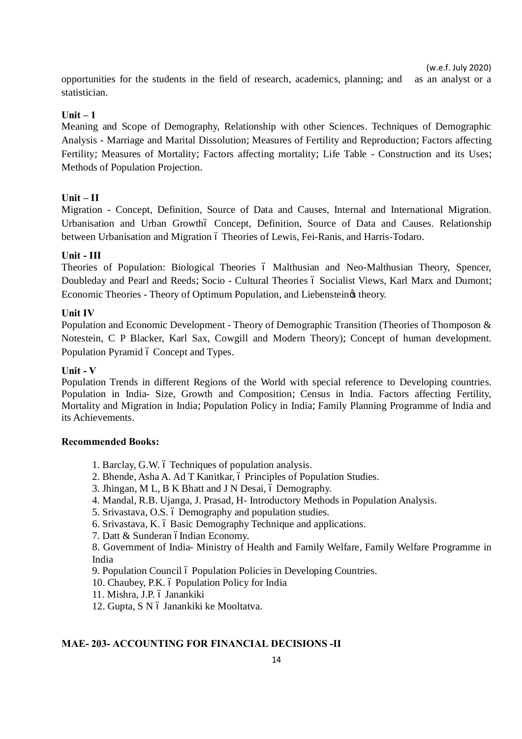opportunities for the students in the field of research, academics, planning; and as an analyst or a statistician.

### $\textbf{Unit} - 1$

Meaning and Scope of Demography, Relationship with other Sciences. Techniques of Demographic Analysis - Marriage and Marital Dissolution=Measures of Fertility and Reproduction=Factors affecting Fertility=Measures of Mortality=Factors affecting mortality=Life Table - Construction and its Uses= Methods of Population Projection.

# **Unit – II**

Migration - Concept, Definition, Source of Data and Causes, Internal and International Migration. Urbanisation and Urban Growthó Concept, Definition, Source of Data and Causes. Relationship between Urbanisation and Migration 6 Theories of Lewis, Fei-Ranis, and Harris-Todaro.

# **Unit - III**

Theories of Population: Biological Theories 6 Malthusian and Neo-Malthusian Theory, Spencer, Doubleday and Pearl and Reeds=Socio - Cultural Theories ó Socialist Views, Karl Marx and Dumont= Economic Theories - Theory of Optimum Population, and Liebenstein & theory.

### **Unit IV**

Population and Economic Development - Theory of Demographic Transition (Theories of Thomposon & Notestein, C P Blacker, Karl Sax, Cowgill and Modern Theory)= Concept of human development. Population Pyramid 6 Concept and Types.

### **Unit - V**

Population Trends in different Regions of the World with special reference to Developing countries. Population in India- Size, Growth and Composition= Census in India. Factors affecting Fertility, Mortality and Migration in India=Population Policy in India=Family Planning Programme of India and its Achievements.

### **Recommended Books:**

- 1. Barclay, G.W. 6 Techniques of population analysis.
- 2. Bhende, Asha A. Ad T Kanitkar, 6 Principles of Population Studies.
- 3. Jhingan, M L, B K Bhatt and J N Desai,  $\acute{o}$  Demography.
- 4. Mandal, R.B. Ujanga, J. Prasad, H- Introductory Methods in Population Analysis.
- 5. Srivastava, O.S. 6 Demography and population studies.
- 6. Srivastava, K. 6 Basic Demography Technique and applications.
- 7. Datt & Sunderan óIndian Economy.

8. Government of India- Ministry of Health and Family Welfare, Family Welfare Programme in India

9. Population Council ó Population Policies in Developing Countries.

10. Chaubey, P.K. ó Population Policy for India

11. Mishra, J.P. ó Janankiki

12. Gupta, S N ó Janankiki ke Mooltatva.

### **MAE- 203- ACCOUNTING FOR FINANCIAL DECISIONS -II**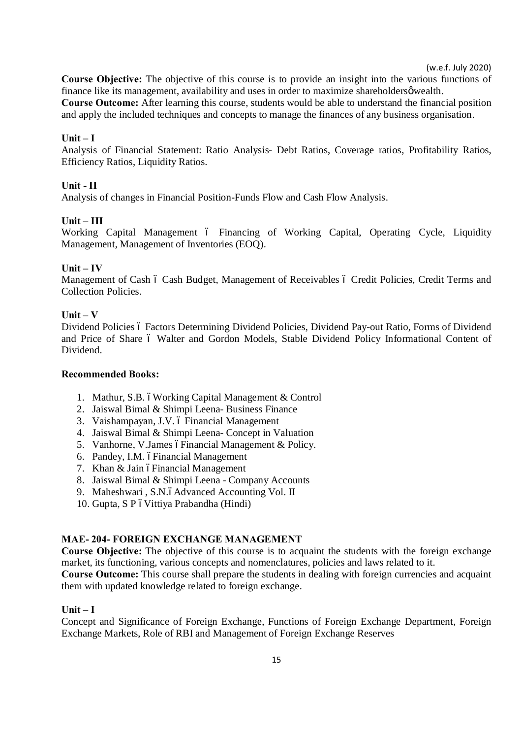**Course Objective:** The objective of this course is to provide an insight into the various functions of finance like its management, availability and uses in order to maximize shareholdersø wealth. **Course Outcome:** After learning this course, students would be able to understand the financial position and apply the included techniques and concepts to manage the finances of any business organisation.

### **Unit – I**

Analysis of Financial Statement: Ratio Analysis- Debt Ratios, Coverage ratios, Profitability Ratios, Efficiency Ratios, Liquidity Ratios.

### **Unit - II**

Analysis of changes in Financial Position-Funds Flow and Cash Flow Analysis.

### **Unit – III**

Working Capital Management ó Financing of Working Capital, Operating Cycle, Liquidity Management, Management of Inventories (EOQ).

# **Unit – IV**

Management of Cash 6 Cash Budget, Management of Receivables 6 Credit Policies, Credit Terms and Collection Policies.

### **Unit – V**

Dividend Policies 6 Factors Determining Dividend Policies, Dividend Pay-out Ratio, Forms of Dividend and Price of Share 6 Walter and Gordon Models, Stable Dividend Policy Informational Content of Dividend.

#### **Recommended Books:**

- 1. Mathur, S.B. óWorking Capital Management & Control
- 2. Jaiswal Bimal & Shimpi Leena- Business Finance
- 3. Vaishampayan, J.V. ó Financial Management
- 4. Jaiswal Bimal & Shimpi Leena- Concept in Valuation
- 5. Vanhorne, V.James óFinancial Management & Policy.
- 6. Pandey, I.M. óFinancial Management
- 7. Khan & Jain óFinancial Management
- 8. Jaiswal Bimal & Shimpi Leena Company Accounts
- 9. Maheshwari, S.N.6Advanced Accounting Vol. II
- 10. Gupta, S P ó Vittiya Prabandha (Hindi)

#### **MAE- 204- FOREIGN EXCHANGE MANAGEMENT**

**Course Objective:** The objective of this course is to acquaint the students with the foreign exchange market, its functioning, various concepts and nomenclatures, policies and laws related to it.

**Course Outcome:** This course shall prepare the students in dealing with foreign currencies and acquaint them with updated knowledge related to foreign exchange.

#### **Unit – I**

Concept and Significance of Foreign Exchange, Functions of Foreign Exchange Department, Foreign Exchange Markets, Role of RBI and Management of Foreign Exchange Reserves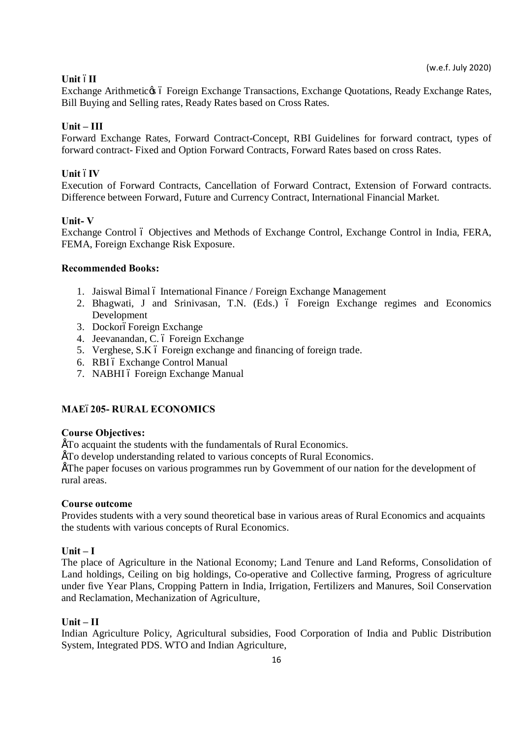# **Unit** –**II**

Exchange Arithmetic & 6 Foreign Exchange Transactions, Exchange Quotations, Ready Exchange Rates, Bill Buying and Selling rates, Ready Rates based on Cross Rates.

### **Unit – III**

Forward Exchange Rates, Forward Contract-Concept, RBI Guidelines for forward contract, types of forward contract- Fixed and Option Forward Contracts, Forward Rates based on cross Rates.

### **Unit óIV**

Execution of Forward Contracts, Cancellation of Forward Contract, Extension of Forward contracts. Difference between Forward, Future and Currency Contract, International Financial Market.

### **Unit- V**

Exchange Control ó Objectives and Methods of Exchange Control, Exchange Control in India, FERA, FEMA, Foreign Exchange Risk Exposure.

### **Recommended Books:**

- 1. Jaiswal Bimal 6 International Finance / Foreign Exchange Management
- 2. Bhagwati, J and Srinivasan, T.N. (Eds.) ó Foreign Exchange regimes and Economics Development
- 3. DockoróForeign Exchange
- 4. Jeevanandan, C. ó Foreign Exchange
- 5. Verghese, S.K  $\acute{o}$  Foreign exchange and financing of foreign trade.
- 6. RBI ó Exchange Control Manual
- 7. NABHI ó Foreign Exchange Manual

# **MAE**–**205- RURAL ECONOMICS**

### **Course Objectives:**

• To acquaint the students with the fundamentals of Rural Economics.

• To develop understanding related to various concepts of Rural Economics.

• The paper focuses on various programmes run by Government of our nation for the development of rural areas.

### **Course outcome**

Provides students with a very sound theoretical base in various areas of Rural Economics and acquaints the students with various concepts of Rural Economics.

### $Unit - I$

The place of Agriculture in the National Economy; Land Tenure and Land Reforms, Consolidation of Land holdings, Ceiling on big holdings, Co-operative and Collective farming, Progress of agriculture under five Year Plans, Cropping Pattern in India, Irrigation, Fertilizers and Manures, Soil Conservation and Reclamation, Mechanization of Agriculture,

### **Unit – II**

Indian Agriculture Policy, Agricultural subsidies, Food Corporation of India and Public Distribution System, Integrated PDS. WTO and Indian Agriculture,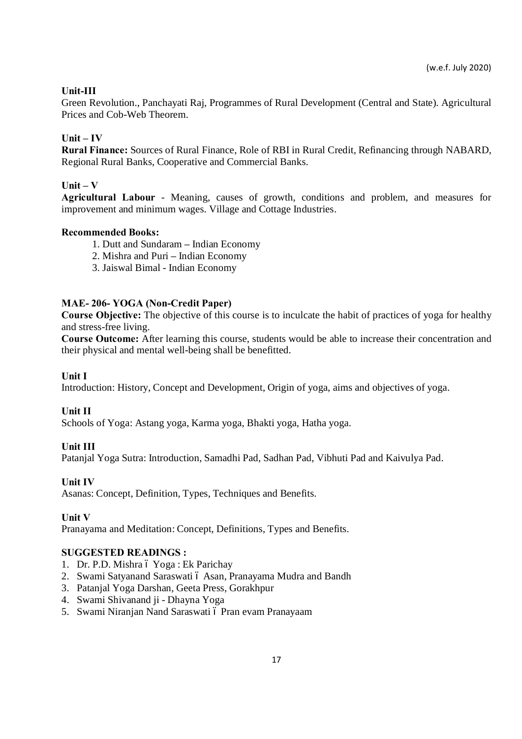# **Unit-III**

Green Revolution., Panchayati Raj, Programmes of Rural Development (Central and State). Agricultural Prices and Cob-Web Theorem.

# $\textbf{Unit} - \textbf{IV}$

**Rural Finance:** Sources of Rural Finance, Role of RBI in Rural Credit, Refinancing through NABARD, Regional Rural Banks, Cooperative and Commercial Banks.

# **Unit – V**

**Agricultural Labour** - Meaning, causes of growth, conditions and problem, and measures for improvement and minimum wages. Village and Cottage Industries.

# **Recommended Books:**

- 1. Dutt and Sundaram **–** Indian Economy
- 2. Mishra and Puri **–** Indian Economy
- 3. Jaiswal Bimal Indian Economy

# **MAE- 206- YOGA (Non-Credit Paper)**

**Course Objective:** The objective of this course is to inculcate the habit of practices of yoga for healthy and stress-free living.

**Course Outcome:** After learning this course, students would be able to increase their concentration and their physical and mental well-being shall be benefitted.

# **Unit I**

Introduction: History, Concept and Development, Origin of yoga, aims and objectives of yoga.

# **Unit II**

Schools of Yoga: Astang yoga, Karma yoga, Bhakti yoga, Hatha yoga.

# **Unit III**

Patanjal Yoga Sutra: Introduction, Samadhi Pad, Sadhan Pad, Vibhuti Pad and Kaivulya Pad.

# **Unit IV**

Asanas: Concept, Definition, Types, Techniques and Benefits.

### **Unit V**

Pranayama and Meditation: Concept, Definitions, Types and Benefits.

# **SUGGESTED READINGS :**

- 1. Dr. P.D. Mishra ó Yoga : Ek Parichay
- 2. Swami Satyanand Saraswati ó Asan, Pranayama Mudra and Bandh
- 3. Patanjal Yoga Darshan, Geeta Press, Gorakhpur
- 4. Swami Shivanand ji Dhayna Yoga
- 5. Swami Niranjan Nand Saraswati ó Pran evam Pranayaam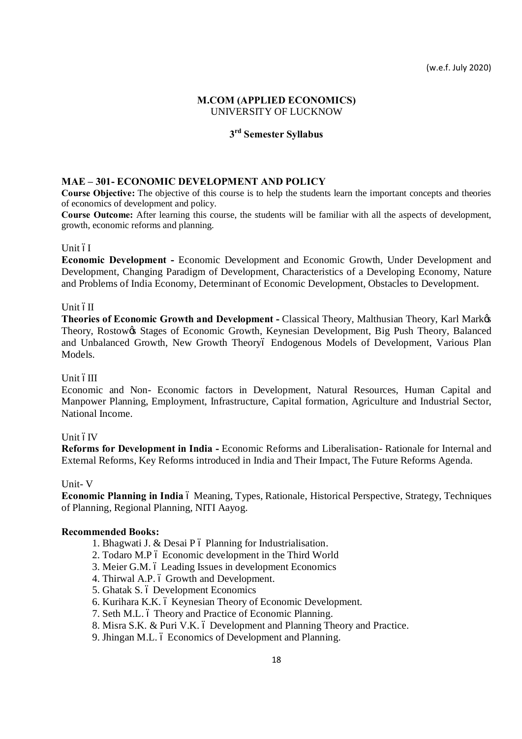### **M.COM (APPLIED ECONOMICS)** UNIVERSITY OF LUCKNOW

# **3rd Semester Syllabus**

## **MAE – 301- ECONOMIC DEVELOPMENT AND POLICY**

**Course Objective:** The objective of this course is to help the students learn the important concepts and theories of economics of development and policy.

**Course Outcome:** After learning this course, the students will be familiar with all the aspects of development, growth, economic reforms and planning.

#### Unit óI

**Economic Development -** Economic Development and Economic Growth, Under Development and Development, Changing Paradigm of Development, Characteristics of a Developing Economy, Nature and Problems of India Economy, Determinant of Economic Development, Obstacles to Development.

#### Unit óII

**Theories of Economic Growth and Development -** Classical Theory, Malthusian Theory, Karl Mark's Theory, Rostow& Stages of Economic Growth, Keynesian Development, Big Push Theory, Balanced and Unbalanced Growth, New Growth Theoryó Endogenous Models of Development, Various Plan Models.

#### Unit óIII

Economic and Non- Economic factors in Development, Natural Resources, Human Capital and Manpower Planning, Employment, Infrastructure, Capital formation, Agriculture and Industrial Sector, National Income.

#### Unit óIV

**Reforms for Development in India -** Economic Reforms and Liberalisation- Rationale for Internal and External Reforms, Key Reforms introduced in India and Their Impact, The Future Reforms Agenda.

#### Unit- V

**Economic Planning in India**  $\acute{o}$  Meaning, Types, Rationale, Historical Perspective, Strategy, Techniques of Planning, Regional Planning, NITI Aayog.

- 1. Bhagwati J.  $&$  Desai P  $\acute{o}$  Planning for Industrialisation.
- 2. Todaro M.P 6 Economic development in the Third World
- 3. Meier G.M. 6 Leading Issues in development Economics
- 4. Thirwal A.P. 6 Growth and Development.
- 5. Ghatak S. ó Development Economics
- 6. Kurihara K.K. ó Keynesian Theory of Economic Development.
- 7. Seth M.L. 6 Theory and Practice of Economic Planning.
- 8. Misra S.K. & Puri V.K. 6 Development and Planning Theory and Practice.
- 9. Jhingan M.L. ó Economics of Development and Planning.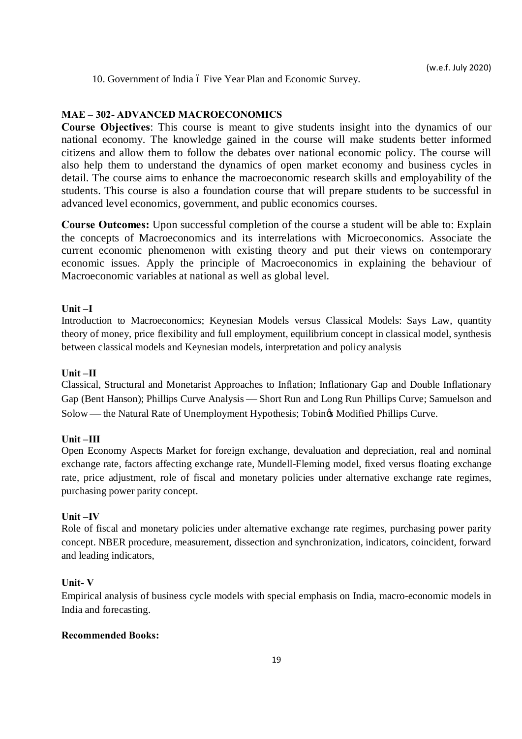10. Government of India ó Five Year Plan and Economic Survey.

### **MAE – 302- ADVANCED MACROECONOMICS**

**Course Objectives**: This course is meant to give students insight into the dynamics of our national economy. The knowledge gained in the course will make students better informed citizens and allow them to follow the debates over national economic policy. The course will also help them to understand the dynamics of open market economy and business cycles in detail. The course aims to enhance the macroeconomic research skills and employability of the students. This course is also a foundation course that will prepare students to be successful in advanced level economics, government, and public economics courses.

**Course Outcomes:** Upon successful completion of the course a student will be able to: Explain the concepts of Macroeconomics and its interrelations with Microeconomics. Associate the current economic phenomenon with existing theory and put their views on contemporary economic issues. Apply the principle of Macroeconomics in explaining the behaviour of Macroeconomic variables at national as well as global level.

### **Unit –I**

Introduction to Macroeconomics; Keynesian Models versus Classical Models: Says Law, quantity theory of money, price flexibility and full employment, equilibrium concept in classical model, synthesis between classical models and Keynesian models, interpretation and policy analysis

#### **Unit –II**

Classical, Structural and Monetarist Approaches to Inflation; Inflationary Gap and Double Inflationary Gap (Bent Hanson); Phillips Curve Analysis æ Short Run and Long Run Phillips Curve; Samuelson and Solow — the Natural Rate of Unemployment Hypothesis; Tobin $\alpha$  Modified Phillips Curve.

#### **Unit –III**

Open Economy Aspects Market for foreign exchange, devaluation and depreciation, real and nominal exchange rate, factors affecting exchange rate, Mundell-Fleming model, fixed versus floating exchange rate, price adjustment, role of fiscal and monetary policies under alternative exchange rate regimes, purchasing power parity concept.

### **Unit –IV**

Role of fiscal and monetary policies under alternative exchange rate regimes, purchasing power parity concept. NBER procedure, measurement, dissection and synchronization, indicators, coincident, forward and leading indicators,

### **Unit- V**

Empirical analysis of business cycle models with special emphasis on India, macro-economic models in India and forecasting.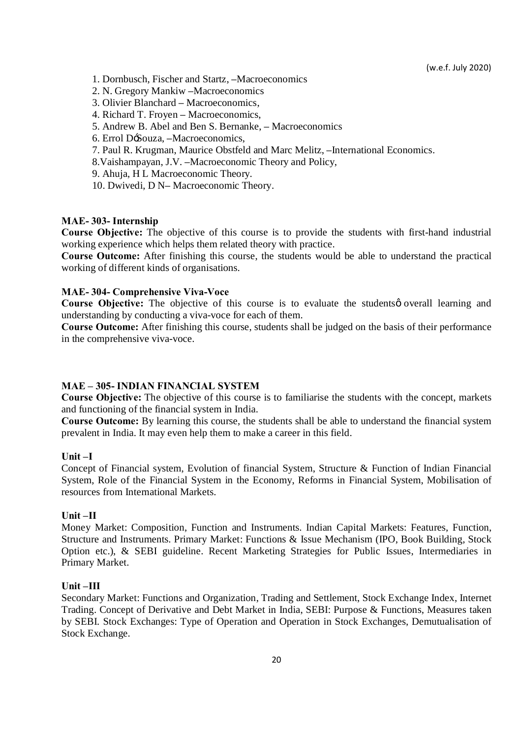- 1. Dornbusch, Fischer and Startz, **–**Macroeconomics
- 2. N. Gregory Mankiw **–**Macroeconomics
- 3. Olivier Blanchard **–** Macroeconomics,
- 4. Richard T. Froyen **–** Macroeconomics,
- 5. Andrew B. Abel and Ben S. Bernanke, **–** Macroeconomics
- 6. Errol D'Souza, **–**Macroeconomics,
- 7. Paul R. Krugman, Maurice Obstfeld and Marc Melitz, **–**International Economics.
- 8.Vaishampayan, J.V. **–**Macroeconomic Theory and Policy,
- 9. Ahuja, H L Macroeconomic Theory.
- 10. Dwivedi, D N**–** Macroeconomic Theory.

### **MAE- 303- Internship**

**Course Objective:** The objective of this course is to provide the students with first-hand industrial working experience which helps them related theory with practice.

**Course Outcome:** After finishing this course, the students would be able to understand the practical working of different kinds of organisations.

### **MAE- 304- Comprehensive Viva-Voce**

Course Objective: The objective of this course is to evaluate the studentsø overall learning and understanding by conducting a viva-voce for each of them.

**Course Outcome:** After finishing this course, students shall be judged on the basis of their performance in the comprehensive viva-voce.

### **MAE – 305- INDIAN FINANCIAL SYSTEM**

**Course Objective:** The objective of this course is to familiarise the students with the concept, markets and functioning of the financial system in India.

**Course Outcome:** By learning this course, the students shall be able to understand the financial system prevalent in India. It may even help them to make a career in this field.

#### **Unit –I**

Concept of Financial system, Evolution of financial System, Structure & Function of Indian Financial System, Role of the Financial System in the Economy, Reforms in Financial System, Mobilisation of resources from International Markets.

#### **Unit –II**

Money Market: Composition, Function and Instruments. Indian Capital Markets: Features, Function, Structure and Instruments. Primary Market: Functions & Issue Mechanism (IPO, Book Building, Stock Option etc.), & SEBI guideline. Recent Marketing Strategies for Public Issues, Intermediaries in Primary Market.

#### **Unit –III**

Secondary Market: Functions and Organization, Trading and Settlement, Stock Exchange Index, Internet Trading. Concept of Derivative and Debt Market in India, SEBI: Purpose & Functions, Measures taken by SEBI. Stock Exchanges: Type of Operation and Operation in Stock Exchanges, Demutualisation of Stock Exchange.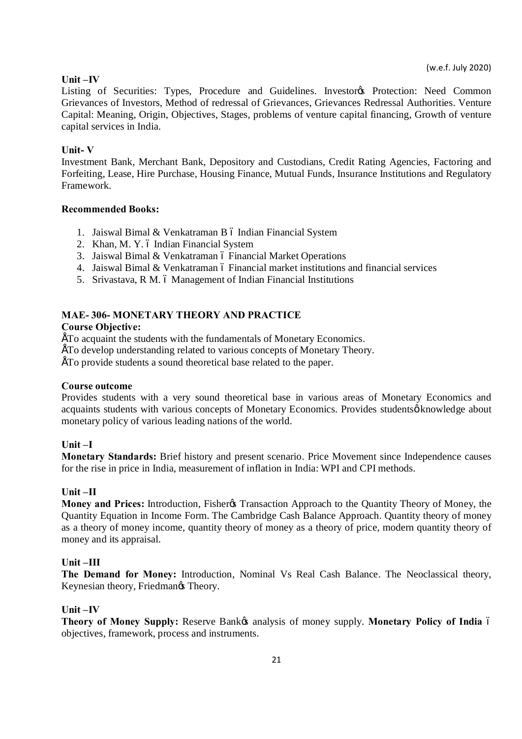### **Unit –IV**

Listing of Securities: Types, Procedure and Guidelines. Investores Protection: Need Common Grievances of Investors, Method of redressal of Grievances, Grievances Redressal Authorities. Venture Capital: Meaning, Origin, Objectives, Stages, problems of venture capital financing, Growth of venture capital services in India.

### **Unit- V**

Investment Bank, Merchant Bank, Depository and Custodians, Credit Rating Agencies, Factoring and Forfeiting, Lease, Hire Purchase, Housing Finance, Mutual Funds, Insurance Institutions and Regulatory Framework.

#### **Recommended Books:**

- 1. Jaiswal Bimal & Venkatraman B ó Indian Financial System
- 2. Khan, M. Y. ó Indian Financial System
- 3. Jaiswal Bimal & Venkatraman ó Financial Market Operations
- 4. Jaiswal Bimal & Venkatraman 6 Financial market institutions and financial services
- 5. Srivastava, R M. 6 Management of Indian Financial Institutions

### **MAE- 306- MONETARY THEORY AND PRACTICE**

### **Course Objective:**

• To acquaint the students with the fundamentals of Monetary Economics.

• To develop understanding related to various concepts of Monetary Theory.

• To provide students a sound theoretical base related to the paper.

#### **Course outcome**

Provides students with a very sound theoretical base in various areas of Monetary Economics and acquaints students with various concepts of Monetary Economics. Provides studentsø knowledge about monetary policy of various leading nations of the world.

#### **Unit –I**

**Monetary Standards:** Brief history and present scenario. Price Movement since Independence causes for the rise in price in India, measurement of inflation in India: WPI and CPI methods.

#### **Unit –II**

**Money and Prices:** Introduction, Fisher & Transaction Approach to the Quantity Theory of Money, the Quantity Equation in Income Form. The Cambridge Cash Balance Approach. Quantity theory of money as a theory of money income, quantity theory of money as a theory of price, modern quantity theory of money and its appraisal.

### **Unit –III**

**The Demand for Money:** Introduction, Nominal Vs Real Cash Balance. The Neoclassical theory, Keynesian theory, Friedman $\alpha$  Theory.

#### **Unit –IV**

Theory of Money Supply: Reserve Bank<sub> $\&$ </sub> analysis of money supply. Monetary Policy of India 6 objectives, framework, process and instruments.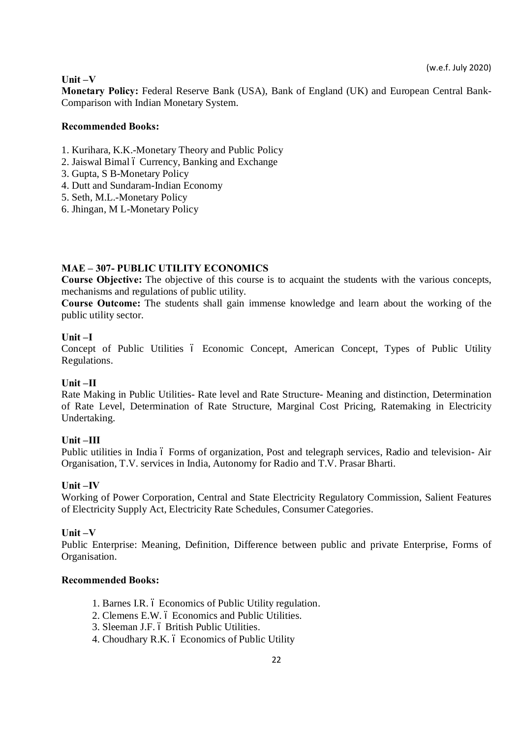### **Unit –V**

**Monetary Policy:** Federal Reserve Bank (USA), Bank of England (UK) and European Central Bank-Comparison with Indian Monetary System.

### **Recommended Books:**

- 1. Kurihara, K.K.-Monetary Theory and Public Policy
- 2. Jaiswal Bimal 6 Currency, Banking and Exchange
- 3. Gupta, S B-Monetary Policy
- 4. Dutt and Sundaram-Indian Economy
- 5. Seth, M.L.-Monetary Policy
- 6. Jhingan, M L-Monetary Policy

# **MAE – 307- PUBLIC UTILITY ECONOMICS**

**Course Objective:** The objective of this course is to acquaint the students with the various concepts, mechanisms and regulations of public utility.

**Course Outcome:** The students shall gain immense knowledge and learn about the working of the public utility sector.

# **Unit –I**

Concept of Public Utilities 6 Economic Concept, American Concept, Types of Public Utility Regulations.

### **Unit –II**

Rate Making in Public Utilities- Rate level and Rate Structure- Meaning and distinction, Determination of Rate Level, Determination of Rate Structure, Marginal Cost Pricing, Ratemaking in Electricity Undertaking.

### **Unit –III**

Public utilities in India ó Forms of organization, Post and telegraph services, Radio and television- Air Organisation, T.V. services in India, Autonomy for Radio and T.V. Prasar Bharti.

### **Unit –IV**

Working of Power Corporation, Central and State Electricity Regulatory Commission, Salient Features of Electricity Supply Act, Electricity Rate Schedules, Consumer Categories.

### **Unit –V**

Public Enterprise: Meaning, Definition, Difference between public and private Enterprise, Forms of Organisation.

- 1. Barnes I.R. 6 Economics of Public Utility regulation.
- 2. Clemens E.W. 6 Economics and Public Utilities.
- 3. Sleeman J.F. 6 British Public Utilities.
- 4. Choudhary R.K. 6 Economics of Public Utility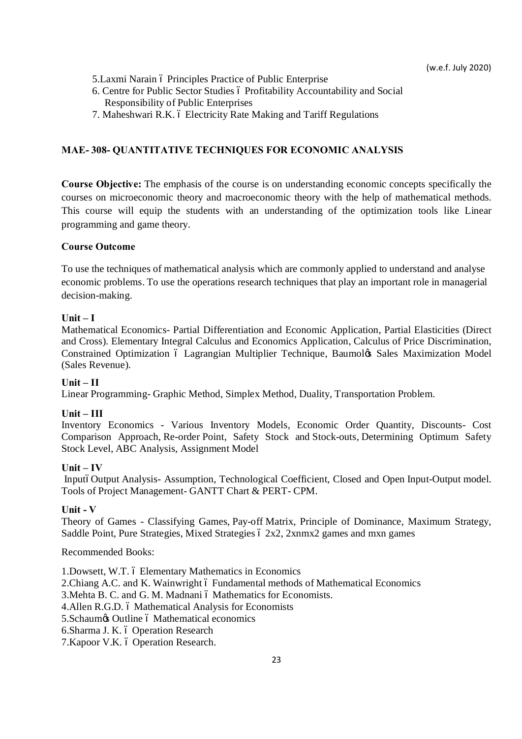- 5. Laxmi Narain ó Principles Practice of Public Enterprise
- 6. Centre for Public Sector Studies ó Profitability Accountability and Social Responsibility of Public Enterprises
- 7. Maheshwari R.K. 6 Electricity Rate Making and Tariff Regulations

### **MAE- 308- QUANTITATIVE TECHNIQUES FOR ECONOMIC ANALYSIS**

**Course Objective:** The emphasis of the course is on understanding economic concepts specifically the courses on microeconomic theory and macroeconomic theory with the help of mathematical methods. This course will equip the students with an understanding of the optimization tools like Linear programming and game theory.

### **Course Outcome**

To use the techniques of mathematical analysis which are commonly applied to understand and analyse economic problems. To use the operations research techniques that play an important role in managerial decision-making.

### **Unit – I**

Mathematical Economics- Partial Differentiation and Economic Application, Partial Elasticities (Direct and Cross). Elementary Integral Calculus and Economics Application, Calculus of Price Discrimination, Constrained Optimization 6 Lagrangian Multiplier Technique, Baumol¢s Sales Maximization Model (Sales Revenue).

### **Unit – II**

Linear Programming- Graphic Method, Simplex Method, Duality, Transportation Problem.

### $Unit - III$

Inventory Economics - Various Inventory Models, Economic Order Quantity, Discounts- Cost Comparison Approach, Re-order Point, Safety Stock and Stock-outs, Determining Optimum Safety Stock Level, ABC Analysis, Assignment Model

#### **Unit – IV**

InputóOutput Analysis- Assumption, Technological Coefficient, Closed and Open Input-Output model. Tools of Project Management- GANTT Chart & PERT- CPM.

#### **Unit - V**

Theory of Games - Classifying Games, Pay-off Matrix, Principle of Dominance, Maximum Strategy, Saddle Point, Pure Strategies, Mixed Strategies 6 2x2, 2xnmx2 games and mxn games

#### Recommended Books:

1.Dowsett, W.T. ó Elementary Mathematics in Economics

- 2. Chiang A.C. and K. Wainwright 6 Fundamental methods of Mathematical Economics
- 3. Mehta B. C. and G. M. Madnani 6 Mathematics for Economists.
- 4. Allen R.G.D. 6 Mathematical Analysis for Economists
- 5. Schaum & Outline 6 Mathematical economics
- 6. Sharma J. K. ó Operation Research
- 7. Kapoor V.K. ó Operation Research.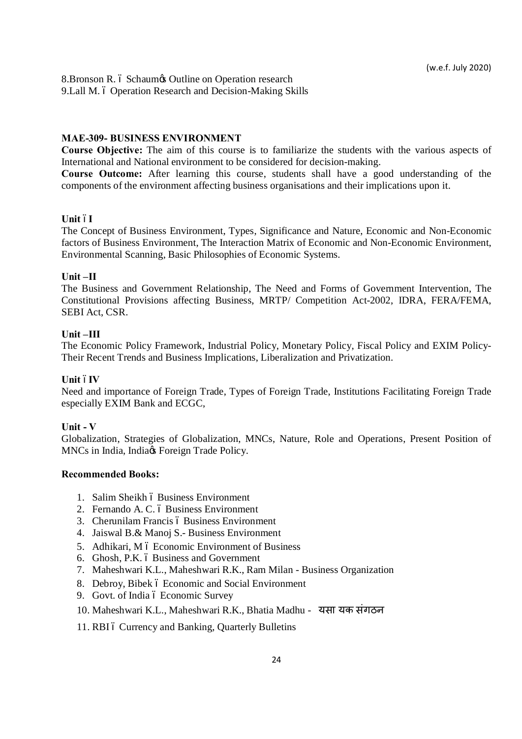8.Bronson R. ó Schaum $\infty$  Outline on Operation research 9.Lall M. 6 Operation Research and Decision-Making Skills

#### **MAE-309- BUSINESS ENVIRONMENT**

**Course Objective:** The aim of this course is to familiarize the students with the various aspects of International and National environment to be considered for decision-making.

**Course Outcome:** After learning this course, students shall have a good understanding of the components of the environment affecting business organisations and their implications upon it.

### **Unit óI**

The Concept of Business Environment, Types, Significance and Nature, Economic and Non-Economic factors of Business Environment, The Interaction Matrix of Economic and Non-Economic Environment, Environmental Scanning, Basic Philosophies of Economic Systems.

#### **Unit –II**

The Business and Government Relationship, The Need and Forms of Government Intervention, The Constitutional Provisions affecting Business, MRTP/ Competition Act-2002, IDRA, FERA/FEMA, SEBI Act, CSR.

### **Unit –III**

The Economic Policy Framework, Industrial Policy, Monetary Policy, Fiscal Policy and EXIM Policy-Their Recent Trends and Business Implications, Liberalization and Privatization.

#### **Unit óIV**

Need and importance of Foreign Trade, Types of Foreign Trade, Institutions Facilitating Foreign Trade especially EXIM Bank and ECGC,

#### **Unit - V**

Globalization, Strategies of Globalization, MNCs, Nature, Role and Operations, Present Position of MNCs in India, India $\alpha$  Foreign Trade Policy.

- 1. Salim Sheikh ó Business Environment
- 2. Fernando A. C. ó Business Environment
- 3. Cherunilam Francis ó Business Environment
- 4. Jaiswal B.& Manoj S.- Business Environment
- 5. Adhikari, M 6 Economic Environment of Business
- 6. Ghosh, P.K. 6 Business and Government
- 7. Maheshwari K.L., Maheshwari R.K., Ram Milan Business Organization
- 8. Debroy, Bibek 6 Economic and Social Environment
- 9. Govt. of India ó Economic Survey
- 10. Maheshwari K.L., Maheshwari R.K., Bhatia Madhu यसायक संगठन
- 11. RBI 6 Currency and Banking, Quarterly Bulletins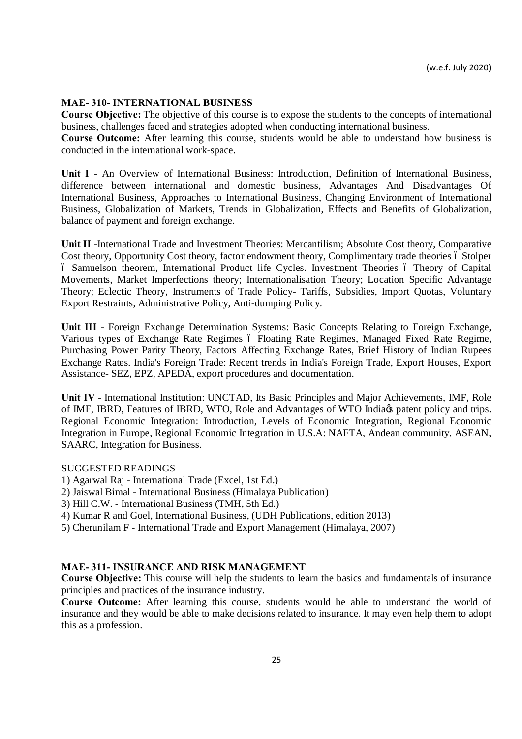#### **MAE- 310- INTERNATIONAL BUSINESS**

**Course Objective:** The objective of this course is to expose the students to the concepts of international business, challenges faced and strategies adopted when conducting international business.

**Course Outcome:** After learning this course, students would be able to understand how business is conducted in the international work-space.

**Unit I** - An Overview of International Business: Introduction, Definition of International Business, difference between international and domestic business, Advantages And Disadvantages Of International Business, Approaches to International Business, Changing Environment of International Business, Globalization of Markets, Trends in Globalization, Effects and Benefits of Globalization, balance of payment and foreign exchange.

**Unit II** -International Trade and Investment Theories: Mercantilism; Absolute Cost theory, Comparative Cost theory, Opportunity Cost theory, factor endowment theory, Complimentary trade theories  $\acute{o}$  Stolper – Samuelson theorem, International Product life Cycles. Investment Theories – Theory of Capital Movements, Market Imperfections theory; Internationalisation Theory; Location Specific Advantage Theory; Eclectic Theory, Instruments of Trade Policy- Tariffs, Subsidies, Import Quotas, Voluntary Export Restraints, Administrative Policy, Anti-dumping Policy.

**Unit III** - Foreign Exchange Determination Systems: Basic Concepts Relating to Foreign Exchange, Various types of Exchange Rate Regimes ó Floating Rate Regimes, Managed Fixed Rate Regime, Purchasing Power Parity Theory, Factors Affecting Exchange Rates, Brief History of Indian Rupees Exchange Rates. India's Foreign Trade: Recent trends in India's Foreign Trade, Export Houses, Export Assistance- SEZ, EPZ, APEDA, export procedures and documentation.

**Unit IV** - International Institution: UNCTAD, Its Basic Principles and Major Achievements, IMF, Role of IMF, IBRD, Features of IBRD, WTO, Role and Advantages of WTO India<sub>n</sub> patent policy and trips. Regional Economic Integration: Introduction, Levels of Economic Integration, Regional Economic Integration in Europe, Regional Economic Integration in U.S.A: NAFTA, Andean community, ASEAN, SAARC, Integration for Business.

#### SUGGESTED READINGS

- 1) Agarwal Raj International Trade (Excel, 1st Ed.)
- 2) Jaiswal Bimal International Business (Himalaya Publication)
- 3) Hill C.W. International Business (TMH, 5th Ed.)
- 4) Kumar R and Goel, International Business, (UDH Publications, edition 2013)
- 5) Cherunilam F International Trade and Export Management (Himalaya, 2007)

### **MAE- 311- INSURANCE AND RISK MANAGEMENT**

**Course Objective:** This course will help the students to learn the basics and fundamentals of insurance principles and practices of the insurance industry.

**Course Outcome:** After learning this course, students would be able to understand the world of insurance and they would be able to make decisions related to insurance. It may even help them to adopt this as a profession.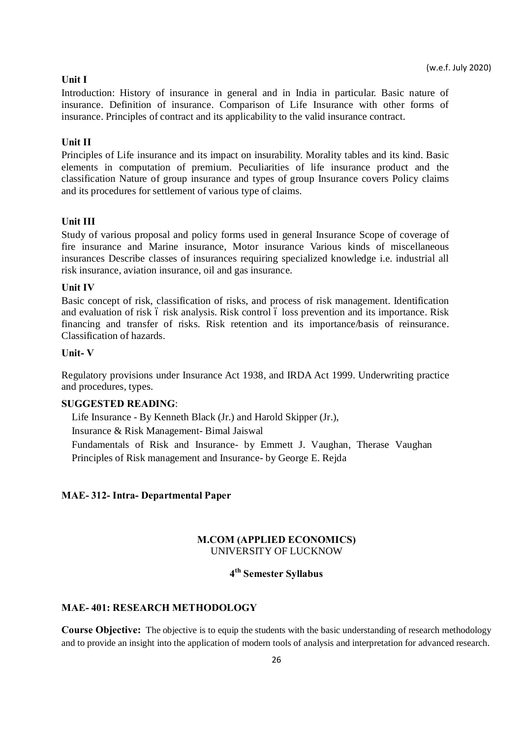#### **Unit I**

Introduction: History of insurance in general and in India in particular. Basic nature of insurance. Definition of insurance. Comparison of Life Insurance with other forms of insurance. Principles of contract and its applicability to the valid insurance contract.

#### **Unit II**

Principles of Life insurance and its impact on insurability. Morality tables and its kind. Basic elements in computation of premium. Peculiarities of life insurance product and the classification Nature of group insurance and types of group Insurance covers Policy claims and its procedures for settlement of various type of claims.

#### **Unit III**

Study of various proposal and policy forms used in general Insurance Scope of coverage of fire insurance and Marine insurance, Motor insurance Various kinds of miscellaneous insurances Describe classes of insurances requiring specialized knowledge i.e. industrial all risk insurance, aviation insurance, oil and gas insurance.

#### **Unit IV**

Basic concept of risk, classification of risks, and process of risk management. Identification and evaluation of risk 6 risk analysis. Risk control 6 loss prevention and its importance. Risk financing and transfer of risks. Risk retention and its importance/basis of reinsurance. Classification of hazards.

### **Unit- V**

Regulatory provisions under Insurance Act 1938, and IRDA Act 1999. Underwriting practice and procedures, types.

#### **SUGGESTED READING**:

Life Insurance - By Kenneth Black (Jr.) and Harold Skipper (Jr.),

Insurance & Risk Management- Bimal Jaiswal

Fundamentals of Risk and Insurance- by Emmett J. Vaughan, Therase Vaughan Principles of Risk management and Insurance- by George E. Rejda

### **MAE- 312- Intra- Departmental Paper**

### **M.COM (APPLIED ECONOMICS)** UNIVERSITY OF LUCKNOW

# **4th Semester Syllabus**

#### **MAE- 401: RESEARCH METHODOLOGY**

**Course Objective:** The objective is to equip the students with the basic understanding of research methodology and to provide an insight into the application of modern tools of analysis and interpretation for advanced research.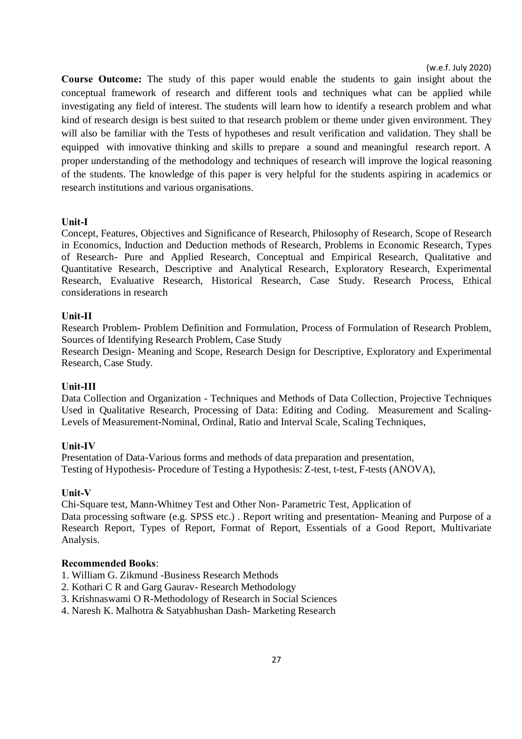**Course Outcome:** The study of this paper would enable the students to gain insight about the conceptual framework of research and different tools and techniques what can be applied while investigating any field of interest. The students will learn how to identify a research problem and what kind of research design is best suited to that research problem or theme under given environment. They will also be familiar with the Tests of hypotheses and result verification and validation. They shall be equipped with innovative thinking and skills to prepare a sound and meaningful research report. A proper understanding of the methodology and techniques of research will improve the logical reasoning of the students. The knowledge of this paper is very helpful for the students aspiring in academics or research institutions and various organisations.

#### **Unit-I**

Concept, Features, Objectives and Significance of Research, Philosophy of Research, Scope of Research in Economics, Induction and Deduction methods of Research, Problems in Economic Research, Types of Research- Pure and Applied Research, Conceptual and Empirical Research, Qualitative and Quantitative Research, Descriptive and Analytical Research, Exploratory Research, Experimental Research, Evaluative Research, Historical Research, Case Study. Research Process, Ethical considerations in research

#### **Unit-II**

Research Problem- Problem Definition and Formulation, Process of Formulation of Research Problem, Sources of Identifying Research Problem, Case Study

Research Design- Meaning and Scope, Research Design for Descriptive, Exploratory and Experimental Research, Case Study.

#### **Unit-III**

Data Collection and Organization - Techniques and Methods of Data Collection, Projective Techniques Used in Qualitative Research, Processing of Data: Editing and Coding. Measurement and Scaling-Levels of Measurement-Nominal, Ordinal, Ratio and Interval Scale, Scaling Techniques,

#### **Unit-IV**

Presentation of Data-Various forms and methods of data preparation and presentation, Testing of Hypothesis- Procedure of Testing a Hypothesis: Z-test, t-test, F-tests (ANOVA),

#### **Unit-V**

Chi-Square test, Mann-Whitney Test and Other Non- Parametric Test, Application of

Data processing software (e.g. SPSS etc.) . Report writing and presentation- Meaning and Purpose of a Research Report, Types of Report, Format of Report, Essentials of a Good Report, Multivariate Analysis.

- 1. William G. Zikmund -Business Research Methods
- 2. Kothari C R and Garg Gaurav- Research Methodology
- 3. Krishnaswami O R-Methodology of Research in Social Sciences
- 4. Naresh K. Malhotra & Satyabhushan Dash- Marketing Research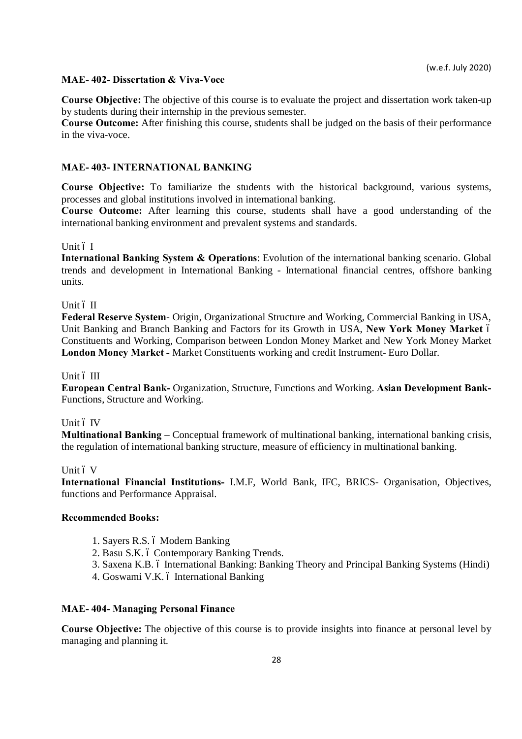### **MAE- 402- Dissertation & Viva-Voce**

**Course Objective:** The objective of this course is to evaluate the project and dissertation work taken-up by students during their internship in the previous semester.

**Course Outcome:** After finishing this course, students shall be judged on the basis of their performance in the viva-voce.

### **MAE- 403- INTERNATIONAL BANKING**

**Course Objective:** To familiarize the students with the historical background, various systems, processes and global institutions involved in international banking.

**Course Outcome:** After learning this course, students shall have a good understanding of the international banking environment and prevalent systems and standards.

### Unit ó I

**International Banking System & Operations**: Evolution of the international banking scenario. Global trends and development in International Banking - International financial centres, offshore banking units.

### Unit ó II

**Federal Reserve System**- Origin, Organizational Structure and Working, Commercial Banking in USA, Unit Banking and Branch Banking and Factors for its Growth in USA, **New York Money Market** – Constituents and Working, Comparison between London Money Market and New York Money Market **London Money Market -** Market Constituents working and credit Instrument- Euro Dollar.

#### Unit ó III

**European Central Bank-** Organization, Structure, Functions and Working. **Asian Development Bank-**Functions, Structure and Working.

#### Unit ó IV

**Multinational Banking –** Conceptual framework of multinational banking, international banking crisis, the regulation of international banking structure, measure of efficiency in multinational banking.

#### Unit ó V

**International Financial Institutions-** I.M.F, World Bank, IFC, BRICS- Organisation, Objectives, functions and Performance Appraisal.

### **Recommended Books:**

- 1. Sayers R.S. 6 Modern Banking
- 2. Basu S.K. ó Contemporary Banking Trends.
- 3. Saxena K.B. 6 International Banking: Banking Theory and Principal Banking Systems (Hindi)
- 4. Goswami V.K. ó International Banking

#### **MAE- 404- Managing Personal Finance**

**Course Objective:** The objective of this course is to provide insights into finance at personal level by managing and planning it.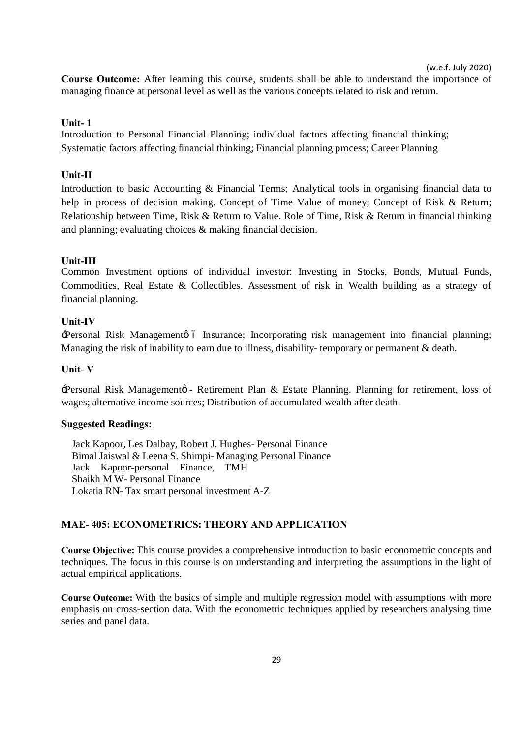**Course Outcome:** After learning this course, students shall be able to understand the importance of managing finance at personal level as well as the various concepts related to risk and return.

#### **Unit- 1**

Introduction to Personal Financial Planning; individual factors affecting financial thinking; Systematic factors affecting financial thinking; Financial planning process; Career Planning

#### **Unit-II**

Introduction to basic Accounting & Financial Terms; Analytical tools in organising financial data to help in process of decision making. Concept of Time Value of money; Concept of Risk & Return; Relationship between Time, Risk & Return to Value. Role of Time, Risk & Return in financial thinking and planning; evaluating choices & making financial decision.

#### **Unit-III**

Common Investment options of individual investor: Investing in Stocks, Bonds, Mutual Funds, Commodities, Real Estate & Collectibles. Assessment of risk in Wealth building as a strategy of financial planning.

### **Unit-IV**

Personal Risk Managemento 6 Insurance; Incorporating risk management into financial planning; Managing the risk of inability to earn due to illness, disability- temporary or permanent & death.

### **Unit- V**

'Personal Risk Management' - Retirement Plan & Estate Planning. Planning for retirement, loss of wages; alternative income sources; Distribution of accumulated wealth after death.

#### **Su[ggested Read](https://www.mheducation.co.in/cgi-bin/same_author.pl?author=Jack%2BKapoor)[ings:](https://www.mheducation.co.in/cgi-bin/same_author.pl?author=Les%2BDalbay%2B%2B%2B%2B%2B%2B%2B%2B%2B%2B%2B%2B%2B%2B%2B%2B%2B%2B%2B%2B%2B%2B%2B%2B%2B%2B%2B%2B%2B%2B%2B)**

Jack Kapoor, Les Dalbay, Robert J. Hughes- Personal Finance Bimal Jaiswal & Leena S. Shimpi- Managing Personal Finance Jack Kapoor-personal Finance, TMH Shaikh M W- Personal Finance Lokatia RN- Tax smart personal investment A-Z

### **MAE- 405: ECONOMETRICS: THEORY AND APPLICATION**

**Course Objective:** This course provides a comprehensive introduction to basic econometric concepts and techniques. The focus in this course is on understanding and interpreting the assumptions in the light of actual empirical applications.

**Course Outcome:** With the basics of simple and multiple regression model with assumptions with more emphasis on cross-section data. With the econometric techniques applied by researchers analysing time series and panel data.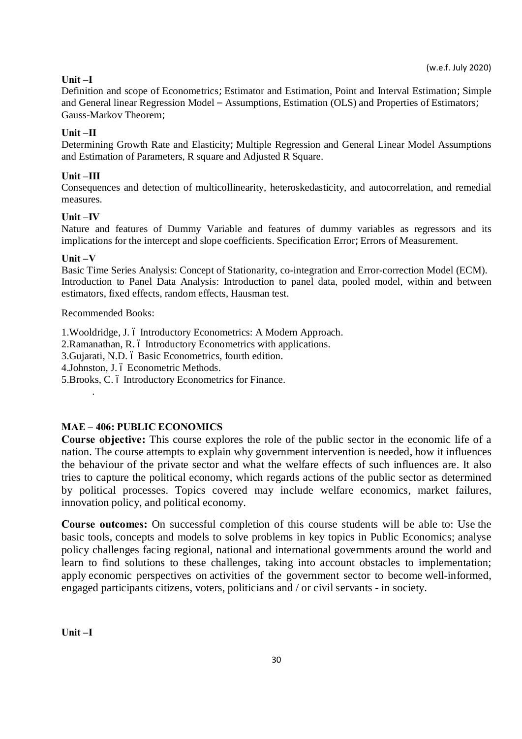# **Unit –I**

Definition and scope of Econometrics=Estimator and Estimation, Point and Interval Estimation=Simple and General linear Regression Model – Assumptions, Estimation (OLS) and Properties of Estimators= Gauss-Markov Theorem;

# **Unit –II**

Determining Growth Rate and Elasticity=Multiple Regression and General Linear Model Assumptions and Estimation of Parameters, R square and Adjusted R Square.

# **Unit –III**

Consequences and detection of multicollinearity, heteroskedasticity, and autocorrelation, and remedial measures.

### **Unit –IV**

Nature and features of Dummy Variable and features of dummy variables as regressors and its implications for the intercept and slope coefficients. Specification Error=Errors of Measurement.

### **Unit –V**

Basic Time Series Analysis: Concept of Stationarity, co-integration and Error-correction Model (ECM). Introduction to Panel Data Analysis: Introduction to panel data, pooled model, within and between estimators, fixed effects, random effects, Hausman test.

### Recommended Books:

.

1. Wooldridge, J. ó Introductory Econometrics: A Modern Approach.

2. Ramanathan, R. 6 Introductory Econometrics with applications.

3. Gujarati, N.D. ó Basic Econometrics, fourth edition.

4. Johnston, J. ó Econometric Methods.

5. Brooks, C. 6 Introductory Econometrics for Finance.

# **MAE – 406: PUBLIC ECONOMICS**

**Course objective:** This course explores the role of the public sector in the economic life of a nation. The course attempts to explain why government intervention is needed, how it influences the behaviour of the private sector and what the welfare effects of such influences are. It also tries to capture the political economy, which regards actions of the public sector as determined by political processes. Topics covered may include welfare economics, market failures, innovation policy, and political economy.

**Course outcomes:** On successful completion of this course students will be able to: Use the basic tools, concepts and models to solve problems in key topics in Public Economics; analyse policy challenges facing regional, national and international governments around the world and learn to find solutions to these challenges, taking into account obstacles to implementation; apply economic perspectives on activities of the government sector to become well-informed, engaged participants citizens, voters, politicians and / or civil servants - in society.

**Unit –I**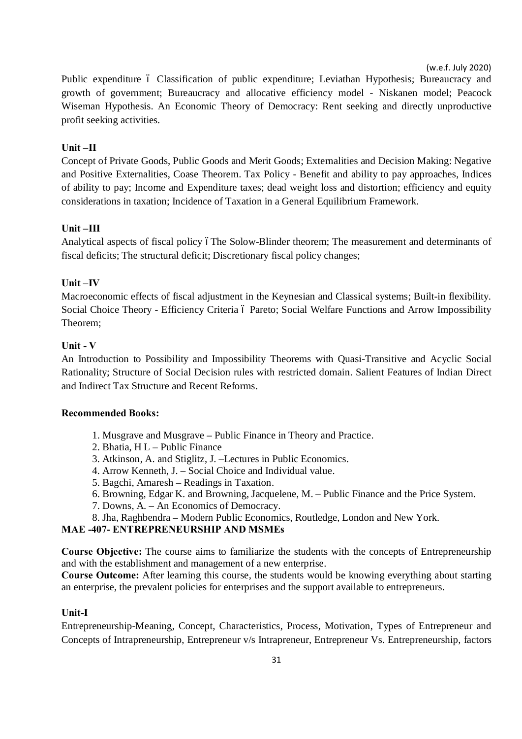Public expenditure 6 Classification of public expenditure; Leviathan Hypothesis; Bureaucracy and growth of government; Bureaucracy and allocative efficiency model - Niskanen model; Peacock Wiseman Hypothesis. An Economic Theory of Democracy: Rent seeking and directly unproductive profit seeking activities.

# **Unit –II**

Concept of Private Goods, Public Goods and Merit Goods; Externalities and Decision Making: Negative and Positive Externalities, Coase Theorem. Tax Policy - Benefit and ability to pay approaches, Indices of ability to pay; Income and Expenditure taxes; dead weight loss and distortion; efficiency and equity considerations in taxation; Incidence of Taxation in a General Equilibrium Framework.

# **Unit –III**

Analytical aspects of fiscal policy of the Solow-Blinder theorem; The measurement and determinants of fiscal deficits; The structural deficit; Discretionary fiscal policy changes;

# **Unit –IV**

Macroeconomic effects of fiscal adjustment in the Keynesian and Classical systems; Built-in flexibility. Social Choice Theory - Efficiency Criteria ó Pareto; Social Welfare Functions and Arrow Impossibility Theorem;

# **Unit - V**

An Introduction to Possibility and Impossibility Theorems with Quasi-Transitive and Acyclic Social Rationality; Structure of Social Decision rules with restricted domain. Salient Features of Indian Direct and Indirect Tax Structure and Recent Reforms.

### **Recommended Books:**

- 1. Musgrave and Musgrave **–** Public Finance in Theory and Practice.
- 2. Bhatia, H L **–** Public Finance
- 3. Atkinson, A. and Stiglitz, J. **–**Lectures in Public Economics.
- 4. Arrow Kenneth, J. **–** Social Choice and Individual value.
- 5. Bagchi, Amaresh **–** Readings in Taxation.
- 6. Browning, Edgar K. and Browning, Jacquelene, M. **–** Public Finance and the Price System.
- 7. Downs, A. **–** An Economics of Democracy.
- 8. Jha, Raghbendra **–** Modern Public Economics, Routledge, London and New York.

# **MAE -407- ENTREPRENEURSHIP AND MSMEs**

**Course Objective:** The course aims to familiarize the students with the concepts of Entrepreneurship and with the establishment and management of a new enterprise.

**Course Outcome:** After learning this course, the students would be knowing everything about starting an enterprise, the prevalent policies for enterprises and the support available to entrepreneurs.

### **Unit-I**

Entrepreneurship-Meaning, Concept, Characteristics, Process, Motivation, Types of Entrepreneur and Concepts of Intrapreneurship, Entrepreneur v/s Intrapreneur, Entrepreneur Vs. Entrepreneurship, factors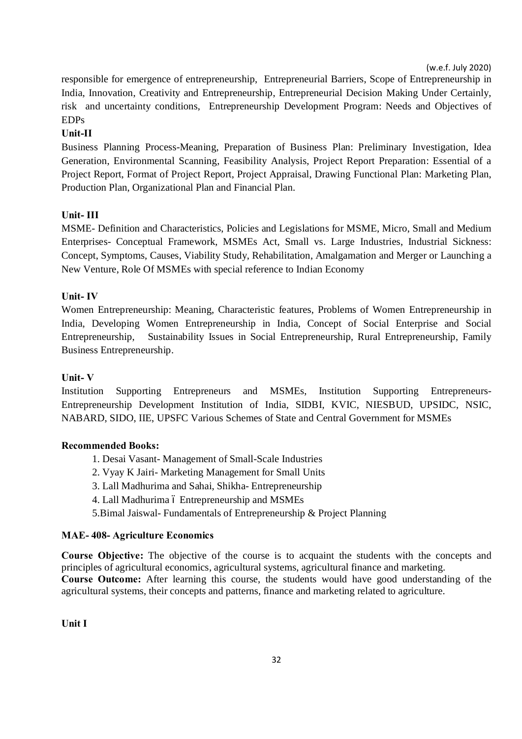responsible for emergence of entrepreneurship, Entrepreneurial Barriers, Scope of Entrepreneurship in India, Innovation, Creativity and Entrepreneurship, Entrepreneurial Decision Making Under Certainly, risk and uncertainty conditions, Entrepreneurship Development Program: Needs and Objectives of EDPs

### **Unit-II**

Business Planning Process-Meaning, Preparation of Business Plan: Preliminary Investigation, Idea Generation, Environmental Scanning, Feasibility Analysis, Project Report Preparation: Essential of a Project Report, Format of Project Report, Project Appraisal, Drawing Functional Plan: Marketing Plan, Production Plan, Organizational Plan and Financial Plan.

### **Unit- III**

MSME- Definition and Characteristics, Policies and Legislations for MSME, Micro, Small and Medium Enterprises- Conceptual Framework, MSMEs Act, Small vs. Large Industries, Industrial Sickness: Concept, Symptoms, Causes, Viability Study, Rehabilitation, Amalgamation and Merger or Launching a New Venture, Role Of MSMEs with special reference to Indian Economy

### **Unit- IV**

Women Entrepreneurship: Meaning, Characteristic features, Problems of Women Entrepreneurship in India, Developing Women Entrepreneurship in India, Concept of Social Enterprise and Social Entrepreneurship, Sustainability Issues in Social Entrepreneurship, Rural Entrepreneurship, Family Business Entrepreneurship.

#### **Unit- V**

Institution Supporting Entrepreneurs and MSMEs, Institution Supporting Entrepreneurs-Entrepreneurship Development Institution of India, SIDBI, KVIC, NIESBUD, UPSIDC, NSIC, NABARD, SIDO, IIE, UPSFC Various Schemes of State and Central Government for MSMEs

#### **Recommended Books:**

1. Desai Vasant- Management of Small-Scale Industries

- 2. Vyay K Jairi- Marketing Management for Small Units
- 3. Lall Madhurima and Sahai, Shikha- Entrepreneurship
- 4. Lall Madhurima ó Entrepreneurship and MSMEs
- 5.Bimal Jaiswal- Fundamentals of Entrepreneurship & Project Planning

#### **MAE- 408- Agriculture Economics**

**Course Objective:** The objective of the course is to acquaint the students with the concepts and principles of agricultural economics, agricultural systems, agricultural finance and marketing. **Course Outcome:** After learning this course, the students would have good understanding of the agricultural systems, their concepts and patterns, finance and marketing related to agriculture.

**Unit I**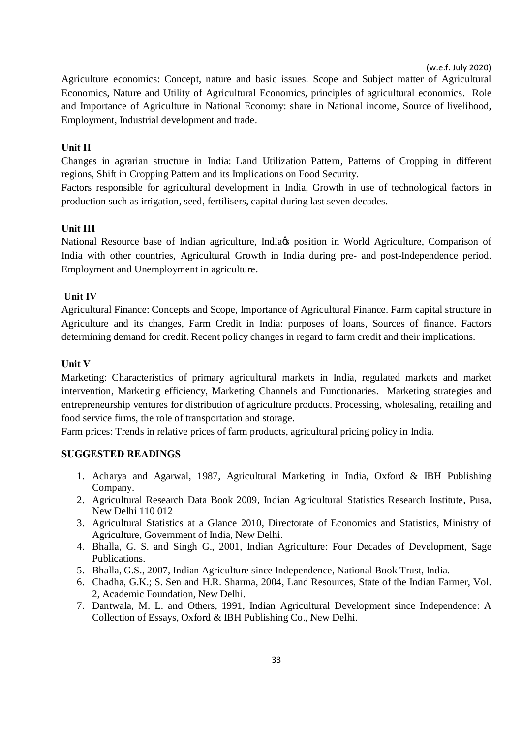Agriculture economics: Concept, nature and basic issues. Scope and Subject matter of Agricultural Economics, Nature and Utility of Agricultural Economics, principles of agricultural economics. Role and Importance of Agriculture in National Economy: share in National income, Source of livelihood, Employment, Industrial development and trade.

### **Unit II**

Changes in agrarian structure in India: Land Utilization Pattern, Patterns of Cropping in different regions, Shift in Cropping Pattern and its Implications on Food Security.

Factors responsible for agricultural development in India, Growth in use of technological factors in production such as irrigation, seed, fertilisers, capital during last seven decades.

### **Unit III**

National Resource base of Indian agriculture, India<sub>ß</sub> position in World Agriculture, Comparison of India with other countries, Agricultural Growth in India during pre- and post-Independence period. Employment and Unemployment in agriculture.

### **Unit IV**

Agricultural Finance: Concepts and Scope, Importance of Agricultural Finance. Farm capital structure in Agriculture and its changes, Farm Credit in India: purposes of loans, Sources of finance. Factors determining demand for credit. Recent policy changes in regard to farm credit and their implications.

### **Unit V**

Marketing: Characteristics of primary agricultural markets in India, regulated markets and market intervention, Marketing efficiency, Marketing Channels and Functionaries. Marketing strategies and entrepreneurship ventures for distribution of agriculture products. Processing, wholesaling, retailing and food service firms, the role of transportation and storage.

Farm prices: Trends in relative prices of farm products, agricultural pricing policy in India.

#### **SUGGESTED READINGS**

- 1. Acharya and Agarwal, 1987, Agricultural Marketing in India, Oxford & IBH Publishing Company.
- 2. Agricultural Research Data Book 2009, Indian Agricultural Statistics Research Institute, Pusa, New Delhi 110 012
- 3. Agricultural Statistics at a Glance 2010, Directorate of Economics and Statistics, Ministry of Agriculture, Government of India, New Delhi.
- 4. Bhalla, G. S. and Singh G., 2001, Indian Agriculture: Four Decades of Development, Sage Publications.
- 5. Bhalla, G.S., 2007, Indian Agriculture since Independence, National Book Trust, India.
- 6. Chadha, G.K.; S. Sen and H.R. Sharma, 2004, Land Resources, State of the Indian Farmer, Vol. 2, Academic Foundation, New Delhi.
- 7. Dantwala, M. L. and Others, 1991, Indian Agricultural Development since Independence: A Collection of Essays, Oxford & IBH Publishing Co., New Delhi.